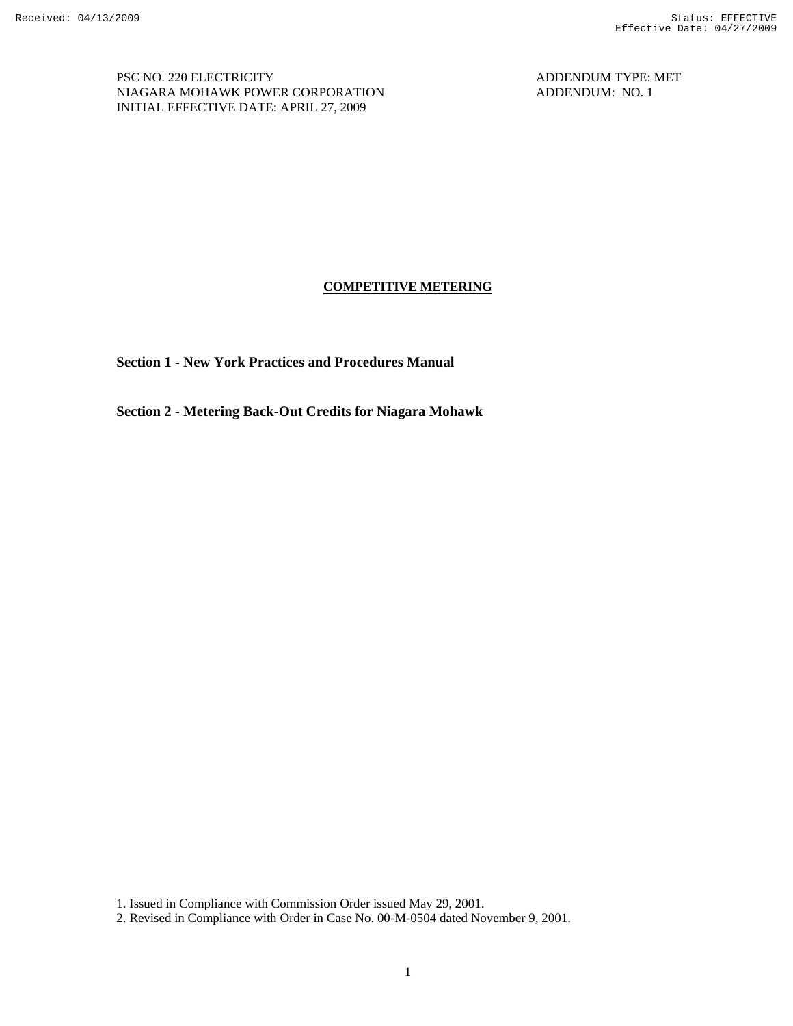PSC NO. 220 ELECTRICITY ADDENDUM TYPE: MET NIAGARA MOHAWK POWER CORPORATION ADDENDUM: NO. 1 INITIAL EFFECTIVE DATE: APRIL 27, 2009

## **COMPETITIVE METERING**

**Section 1 - New York Practices and Procedures Manual** 

**Section 2 - Metering Back-Out Credits for Niagara Mohawk** 

1. Issued in Compliance with Commission Order issued May 29, 2001.

2. Revised in Compliance with Order in Case No. 00-M-0504 dated November 9, 2001.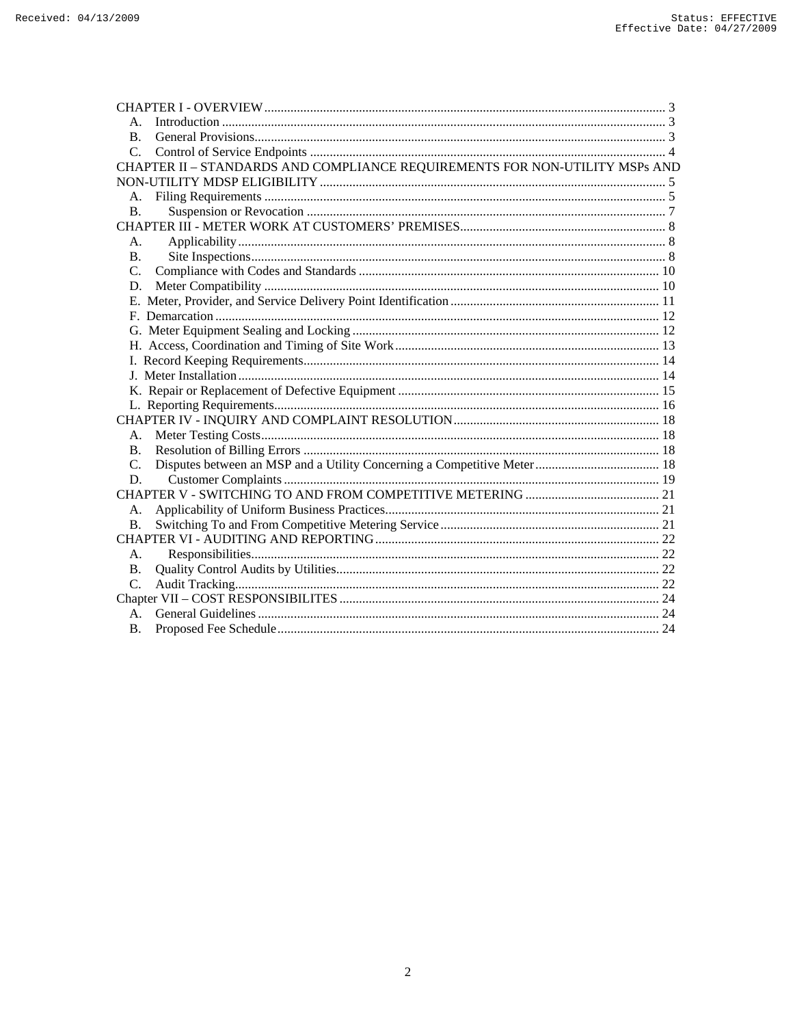| B.             |                                                                             |  |
|----------------|-----------------------------------------------------------------------------|--|
| $C_{\cdot}$    |                                                                             |  |
|                | CHAPTER II - STANDARDS AND COMPLIANCE REQUIREMENTS FOR NON-UTILITY MSPs AND |  |
|                |                                                                             |  |
| A.             |                                                                             |  |
| <b>B.</b>      |                                                                             |  |
|                |                                                                             |  |
| А.             |                                                                             |  |
| <b>B.</b>      |                                                                             |  |
| $C_{\cdot}$    |                                                                             |  |
| D.             |                                                                             |  |
|                |                                                                             |  |
|                |                                                                             |  |
|                |                                                                             |  |
|                |                                                                             |  |
|                |                                                                             |  |
|                |                                                                             |  |
|                |                                                                             |  |
|                |                                                                             |  |
|                |                                                                             |  |
|                |                                                                             |  |
| B.             |                                                                             |  |
| C.             |                                                                             |  |
| D.             |                                                                             |  |
|                |                                                                             |  |
| А.             |                                                                             |  |
| B.             |                                                                             |  |
|                |                                                                             |  |
| А.             |                                                                             |  |
| B.             |                                                                             |  |
| $\mathbf{C}$ . |                                                                             |  |
|                |                                                                             |  |
|                |                                                                             |  |
| B.             |                                                                             |  |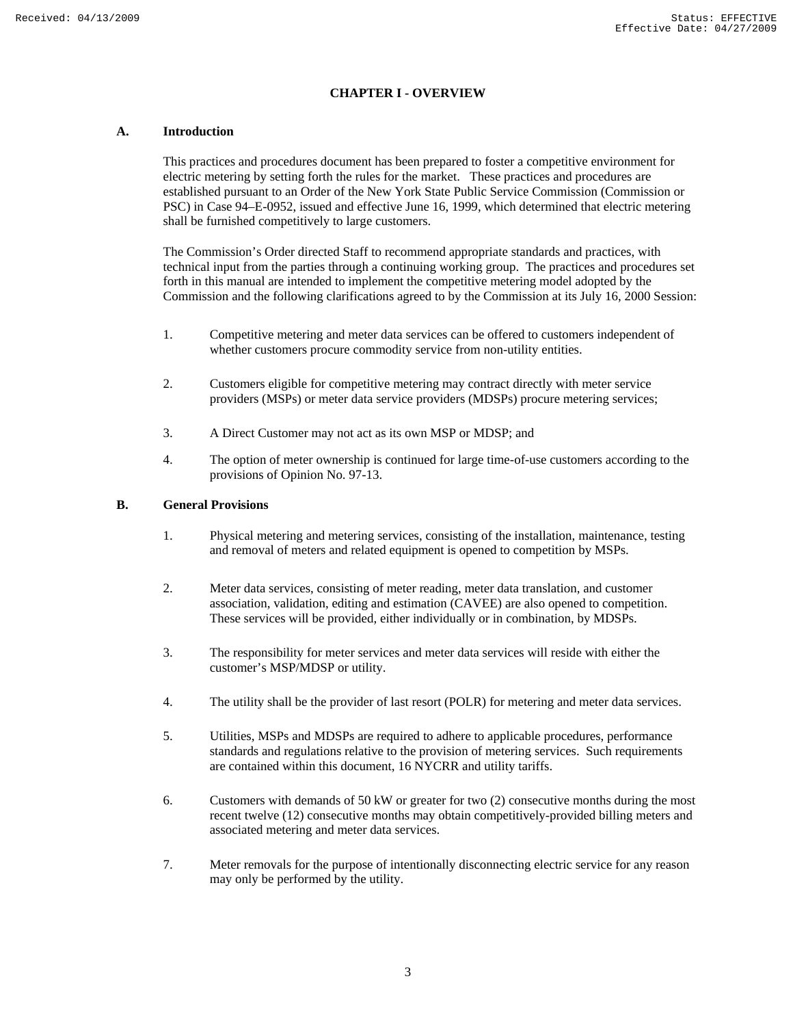## **CHAPTER I - OVERVIEW**

## **A. Introduction**

This practices and procedures document has been prepared to foster a competitive environment for electric metering by setting forth the rules for the market. These practices and procedures are established pursuant to an Order of the New York State Public Service Commission (Commission or PSC) in Case 94–E-0952, issued and effective June 16, 1999, which determined that electric metering shall be furnished competitively to large customers.

The Commission's Order directed Staff to recommend appropriate standards and practices, with technical input from the parties through a continuing working group. The practices and procedures set forth in this manual are intended to implement the competitive metering model adopted by the Commission and the following clarifications agreed to by the Commission at its July 16, 2000 Session:

- 1. Competitive metering and meter data services can be offered to customers independent of whether customers procure commodity service from non-utility entities.
- 2. Customers eligible for competitive metering may contract directly with meter service providers (MSPs) or meter data service providers (MDSPs) procure metering services;
- 3. A Direct Customer may not act as its own MSP or MDSP; and
- 4. The option of meter ownership is continued for large time-of-use customers according to the provisions of Opinion No. 97-13.

#### **B. General Provisions**

- 1. Physical metering and metering services, consisting of the installation, maintenance, testing and removal of meters and related equipment is opened to competition by MSPs.
- 2. Meter data services, consisting of meter reading, meter data translation, and customer association, validation, editing and estimation (CAVEE) are also opened to competition. These services will be provided, either individually or in combination, by MDSPs.
- 3. The responsibility for meter services and meter data services will reside with either the customer's MSP/MDSP or utility.
- 4. The utility shall be the provider of last resort (POLR) for metering and meter data services.
- 5. Utilities, MSPs and MDSPs are required to adhere to applicable procedures, performance standards and regulations relative to the provision of metering services. Such requirements are contained within this document, 16 NYCRR and utility tariffs.
- 6. Customers with demands of 50 kW or greater for two (2) consecutive months during the most recent twelve (12) consecutive months may obtain competitively-provided billing meters and associated metering and meter data services.
- 7. Meter removals for the purpose of intentionally disconnecting electric service for any reason may only be performed by the utility.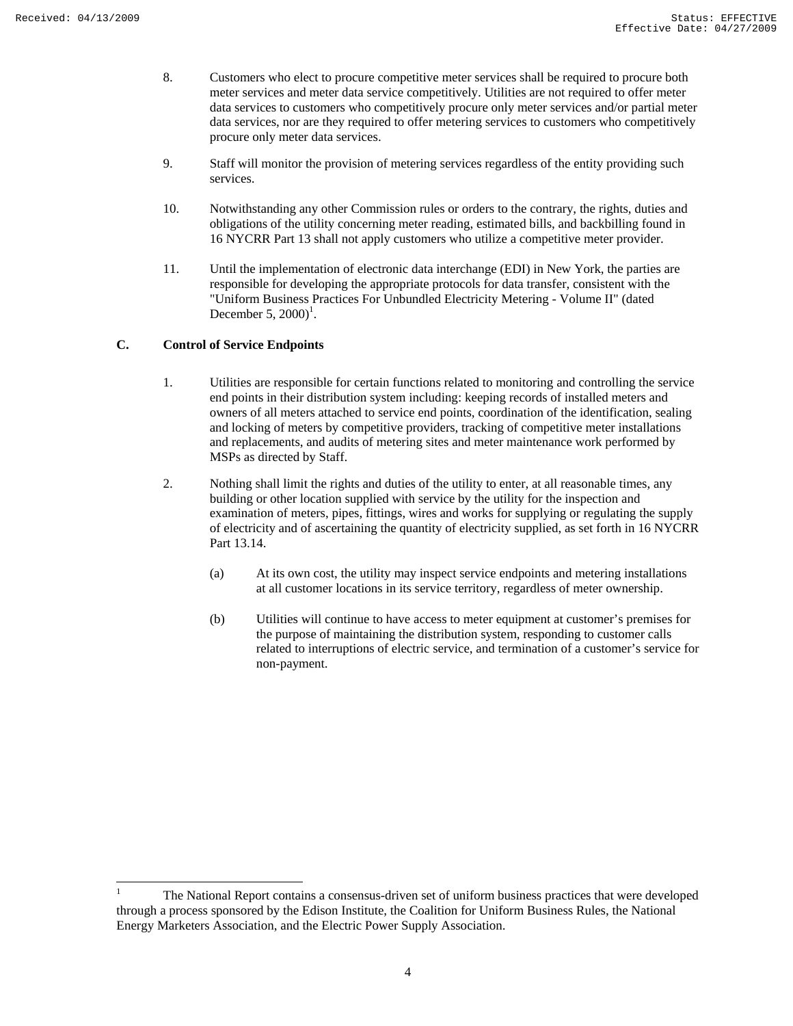- 8. Customers who elect to procure competitive meter services shall be required to procure both meter services and meter data service competitively. Utilities are not required to offer meter data services to customers who competitively procure only meter services and/or partial meter data services, nor are they required to offer metering services to customers who competitively procure only meter data services.
- 9. Staff will monitor the provision of metering services regardless of the entity providing such services.
- 10. Notwithstanding any other Commission rules or orders to the contrary, the rights, duties and obligations of the utility concerning meter reading, estimated bills, and backbilling found in 16 NYCRR Part 13 shall not apply customers who utilize a competitive meter provider.
- 11. Until the implementation of electronic data interchange (EDI) in New York, the parties are responsible for developing the appropriate protocols for data transfer, consistent with the "Uniform Business Practices For Unbundled Electricity Metering - Volume II" (dated December 5,  $2000$ <sup>1</sup>.

## **C. Control of Service Endpoints**

- 1. Utilities are responsible for certain functions related to monitoring and controlling the service end points in their distribution system including: keeping records of installed meters and owners of all meters attached to service end points, coordination of the identification, sealing and locking of meters by competitive providers, tracking of competitive meter installations and replacements, and audits of metering sites and meter maintenance work performed by MSPs as directed by Staff.
- 2. Nothing shall limit the rights and duties of the utility to enter, at all reasonable times, any building or other location supplied with service by the utility for the inspection and examination of meters, pipes, fittings, wires and works for supplying or regulating the supply of electricity and of ascertaining the quantity of electricity supplied, as set forth in 16 NYCRR Part 13.14.
	- (a) At its own cost, the utility may inspect service endpoints and metering installations at all customer locations in its service territory, regardless of meter ownership.
	- (b) Utilities will continue to have access to meter equipment at customer's premises for the purpose of maintaining the distribution system, responding to customer calls related to interruptions of electric service, and termination of a customer's service for non-payment.

<sup>|&</sup>lt;br>|<br>| The National Report contains a consensus-driven set of uniform business practices that were developed through a process sponsored by the Edison Institute, the Coalition for Uniform Business Rules, the National Energy Marketers Association, and the Electric Power Supply Association.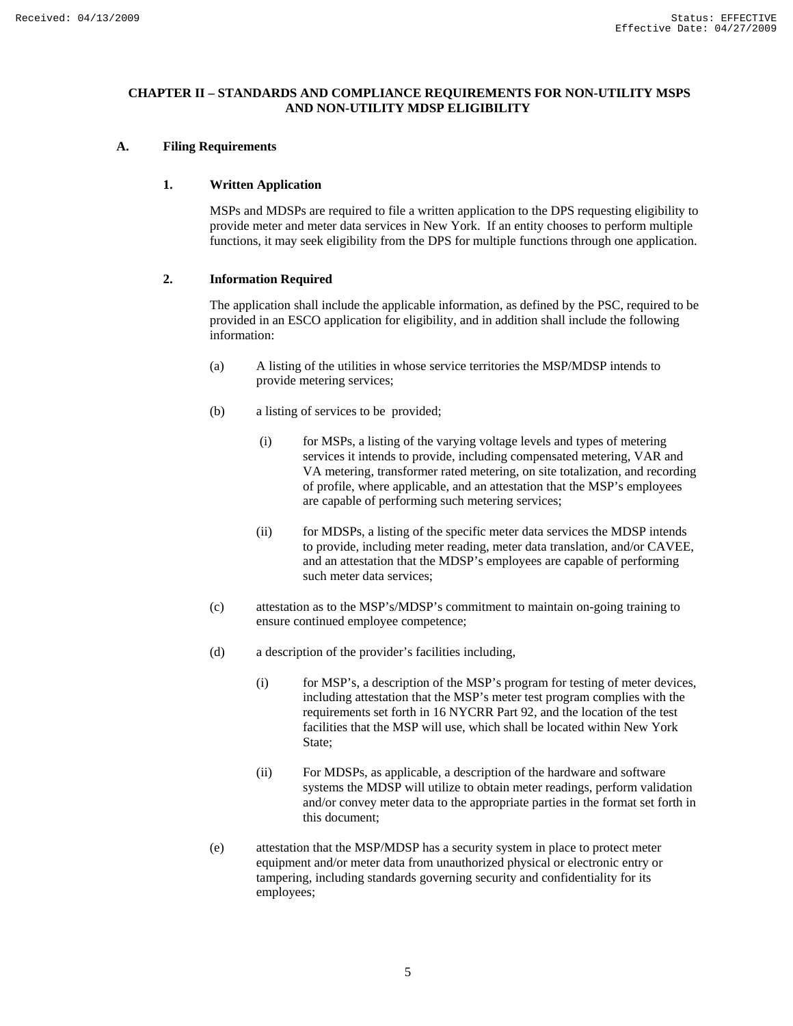## **CHAPTER II – STANDARDS AND COMPLIANCE REQUIREMENTS FOR NON-UTILITY MSPS AND NON-UTILITY MDSP ELIGIBILITY**

## **A. Filing Requirements**

## **1. Written Application**

MSPs and MDSPs are required to file a written application to the DPS requesting eligibility to provide meter and meter data services in New York. If an entity chooses to perform multiple functions, it may seek eligibility from the DPS for multiple functions through one application.

## **2. Information Required**

The application shall include the applicable information, as defined by the PSC, required to be provided in an ESCO application for eligibility, and in addition shall include the following information:

- (a) A listing of the utilities in whose service territories the MSP/MDSP intends to provide metering services;
- (b) a listing of services to be provided;
	- (i) for MSPs, a listing of the varying voltage levels and types of metering services it intends to provide, including compensated metering, VAR and VA metering, transformer rated metering, on site totalization, and recording of profile, where applicable, and an attestation that the MSP's employees are capable of performing such metering services;
	- (ii) for MDSPs, a listing of the specific meter data services the MDSP intends to provide, including meter reading, meter data translation, and/or CAVEE, and an attestation that the MDSP's employees are capable of performing such meter data services;
- (c) attestation as to the MSP's/MDSP's commitment to maintain on-going training to ensure continued employee competence;
- (d) a description of the provider's facilities including,
	- (i) for MSP's, a description of the MSP's program for testing of meter devices, including attestation that the MSP's meter test program complies with the requirements set forth in 16 NYCRR Part 92, and the location of the test facilities that the MSP will use, which shall be located within New York State;
	- (ii) For MDSPs, as applicable, a description of the hardware and software systems the MDSP will utilize to obtain meter readings, perform validation and/or convey meter data to the appropriate parties in the format set forth in this document;
- (e) attestation that the MSP/MDSP has a security system in place to protect meter equipment and/or meter data from unauthorized physical or electronic entry or tampering, including standards governing security and confidentiality for its employees;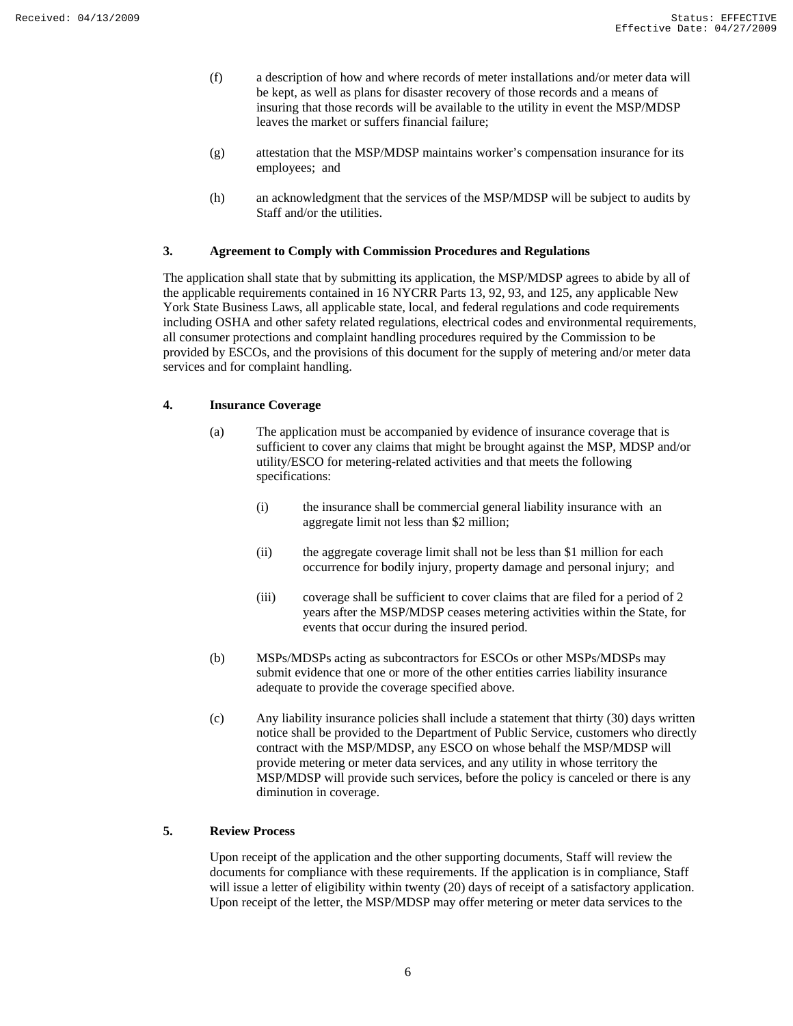- (f) a description of how and where records of meter installations and/or meter data will be kept, as well as plans for disaster recovery of those records and a means of insuring that those records will be available to the utility in event the MSP/MDSP leaves the market or suffers financial failure;
- (g) attestation that the MSP/MDSP maintains worker's compensation insurance for its employees; and
- (h) an acknowledgment that the services of the MSP/MDSP will be subject to audits by Staff and/or the utilities.

## **3. Agreement to Comply with Commission Procedures and Regulations**

The application shall state that by submitting its application, the MSP/MDSP agrees to abide by all of the applicable requirements contained in 16 NYCRR Parts 13, 92, 93, and 125, any applicable New York State Business Laws, all applicable state, local, and federal regulations and code requirements including OSHA and other safety related regulations, electrical codes and environmental requirements, all consumer protections and complaint handling procedures required by the Commission to be provided by ESCOs, and the provisions of this document for the supply of metering and/or meter data services and for complaint handling.

## **4. Insurance Coverage**

- (a) The application must be accompanied by evidence of insurance coverage that is sufficient to cover any claims that might be brought against the MSP, MDSP and/or utility/ESCO for metering-related activities and that meets the following specifications:
	- (i) the insurance shall be commercial general liability insurance with an aggregate limit not less than \$2 million;
	- (ii) the aggregate coverage limit shall not be less than \$1 million for each occurrence for bodily injury, property damage and personal injury; and
	- (iii) coverage shall be sufficient to cover claims that are filed for a period of 2 years after the MSP/MDSP ceases metering activities within the State, for events that occur during the insured period.
- (b) MSPs/MDSPs acting as subcontractors for ESCOs or other MSPs/MDSPs may submit evidence that one or more of the other entities carries liability insurance adequate to provide the coverage specified above.
- (c) Any liability insurance policies shall include a statement that thirty (30) days written notice shall be provided to the Department of Public Service, customers who directly contract with the MSP/MDSP, any ESCO on whose behalf the MSP/MDSP will provide metering or meter data services, and any utility in whose territory the MSP/MDSP will provide such services, before the policy is canceled or there is any diminution in coverage.

#### **5. Review Process**

Upon receipt of the application and the other supporting documents, Staff will review the documents for compliance with these requirements. If the application is in compliance, Staff will issue a letter of eligibility within twenty (20) days of receipt of a satisfactory application. Upon receipt of the letter, the MSP/MDSP may offer metering or meter data services to the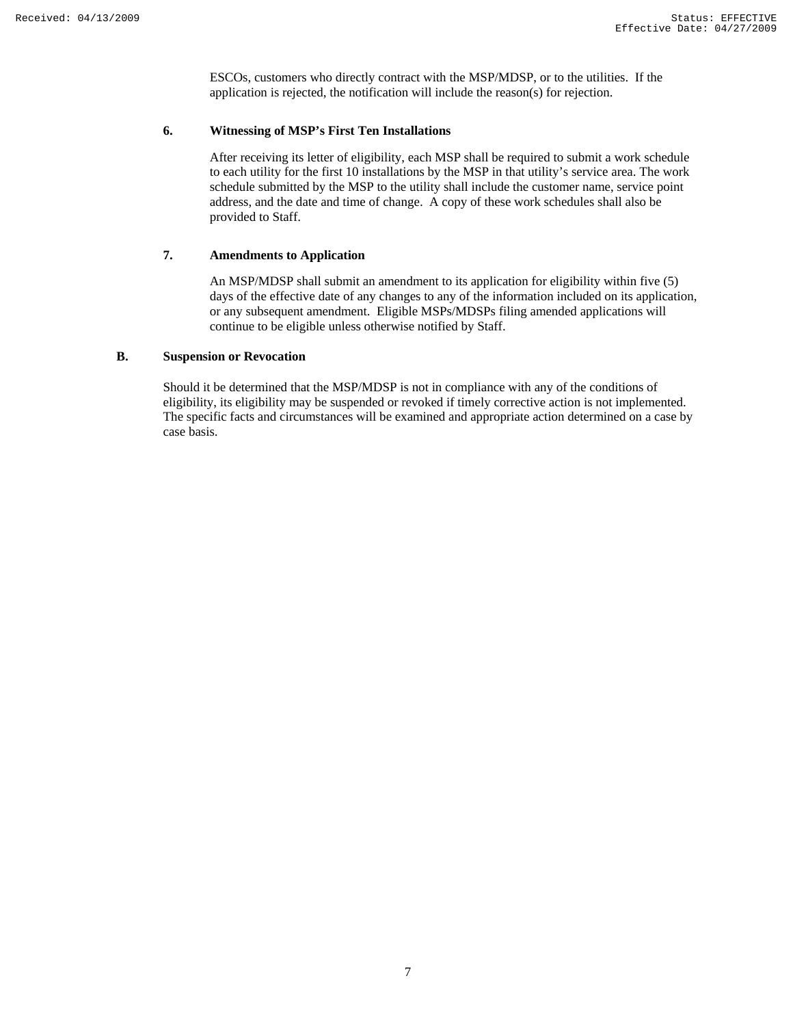ESCOs, customers who directly contract with the MSP/MDSP, or to the utilities. If the application is rejected, the notification will include the reason(s) for rejection.

## **6. Witnessing of MSP's First Ten Installations**

After receiving its letter of eligibility, each MSP shall be required to submit a work schedule to each utility for the first 10 installations by the MSP in that utility's service area. The work schedule submitted by the MSP to the utility shall include the customer name, service point address, and the date and time of change. A copy of these work schedules shall also be provided to Staff.

#### **7. Amendments to Application**

An MSP/MDSP shall submit an amendment to its application for eligibility within five (5) days of the effective date of any changes to any of the information included on its application, or any subsequent amendment. Eligible MSPs/MDSPs filing amended applications will continue to be eligible unless otherwise notified by Staff.

## **B. Suspension or Revocation**

Should it be determined that the MSP/MDSP is not in compliance with any of the conditions of eligibility, its eligibility may be suspended or revoked if timely corrective action is not implemented. The specific facts and circumstances will be examined and appropriate action determined on a case by case basis.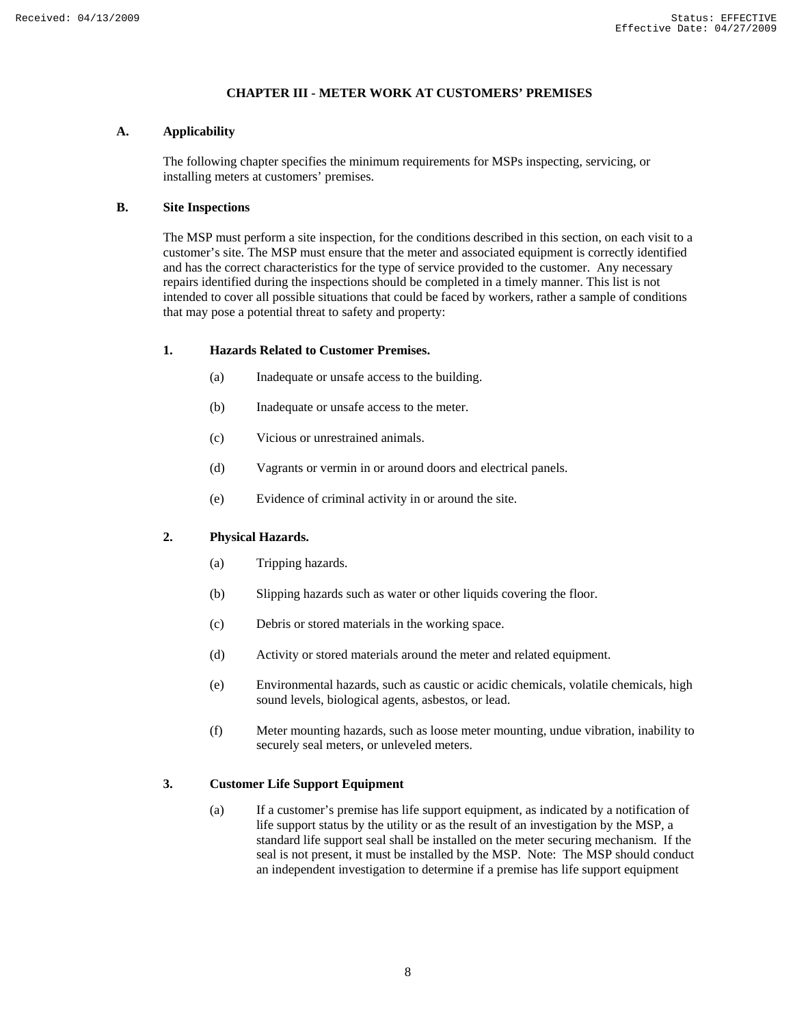## **CHAPTER III - METER WORK AT CUSTOMERS' PREMISES**

## **A. Applicability**

The following chapter specifies the minimum requirements for MSPs inspecting, servicing, or installing meters at customers' premises.

## **B. Site Inspections**

The MSP must perform a site inspection, for the conditions described in this section, on each visit to a customer's site. The MSP must ensure that the meter and associated equipment is correctly identified and has the correct characteristics for the type of service provided to the customer. Any necessary repairs identified during the inspections should be completed in a timely manner. This list is not intended to cover all possible situations that could be faced by workers, rather a sample of conditions that may pose a potential threat to safety and property:

## **1. Hazards Related to Customer Premises.**

- (a) Inadequate or unsafe access to the building.
- (b) Inadequate or unsafe access to the meter.
- (c) Vicious or unrestrained animals.
- (d) Vagrants or vermin in or around doors and electrical panels.
- (e) Evidence of criminal activity in or around the site.

## **2. Physical Hazards.**

- (a) Tripping hazards.
- (b) Slipping hazards such as water or other liquids covering the floor.
- (c) Debris or stored materials in the working space.
- (d) Activity or stored materials around the meter and related equipment.
- (e) Environmental hazards, such as caustic or acidic chemicals, volatile chemicals, high sound levels, biological agents, asbestos, or lead.
- (f) Meter mounting hazards, such as loose meter mounting, undue vibration, inability to securely seal meters, or unleveled meters.

## **3. Customer Life Support Equipment**

(a) If a customer's premise has life support equipment, as indicated by a notification of life support status by the utility or as the result of an investigation by the MSP, a standard life support seal shall be installed on the meter securing mechanism. If the seal is not present, it must be installed by the MSP. Note: The MSP should conduct an independent investigation to determine if a premise has life support equipment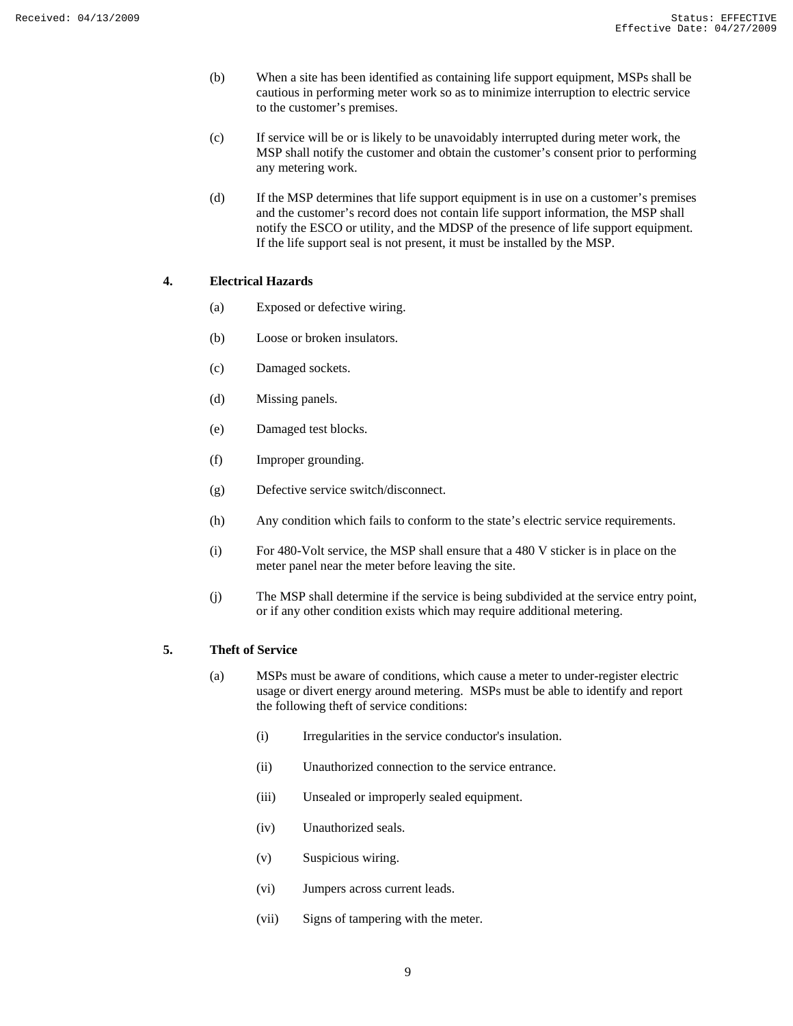- (b) When a site has been identified as containing life support equipment, MSPs shall be cautious in performing meter work so as to minimize interruption to electric service to the customer's premises.
- (c) If service will be or is likely to be unavoidably interrupted during meter work, the MSP shall notify the customer and obtain the customer's consent prior to performing any metering work.
- (d) If the MSP determines that life support equipment is in use on a customer's premises and the customer's record does not contain life support information, the MSP shall notify the ESCO or utility, and the MDSP of the presence of life support equipment. If the life support seal is not present, it must be installed by the MSP.

## **4. Electrical Hazards**

- (a) Exposed or defective wiring.
- (b) Loose or broken insulators.
- (c) Damaged sockets.
- (d) Missing panels.
- (e) Damaged test blocks.
- (f) Improper grounding.
- (g) Defective service switch/disconnect.
- (h) Any condition which fails to conform to the state's electric service requirements.
- (i) For 480-Volt service, the MSP shall ensure that a 480 V sticker is in place on the meter panel near the meter before leaving the site.
- (j) The MSP shall determine if the service is being subdivided at the service entry point, or if any other condition exists which may require additional metering.

## **5. Theft of Service**

- (a) MSPs must be aware of conditions, which cause a meter to under-register electric usage or divert energy around metering. MSPs must be able to identify and report the following theft of service conditions:
	- (i) Irregularities in the service conductor's insulation.
	- (ii) Unauthorized connection to the service entrance.
	- (iii) Unsealed or improperly sealed equipment.
	- (iv) Unauthorized seals.
	- (v) Suspicious wiring.
	- (vi) Jumpers across current leads.
	- (vii) Signs of tampering with the meter.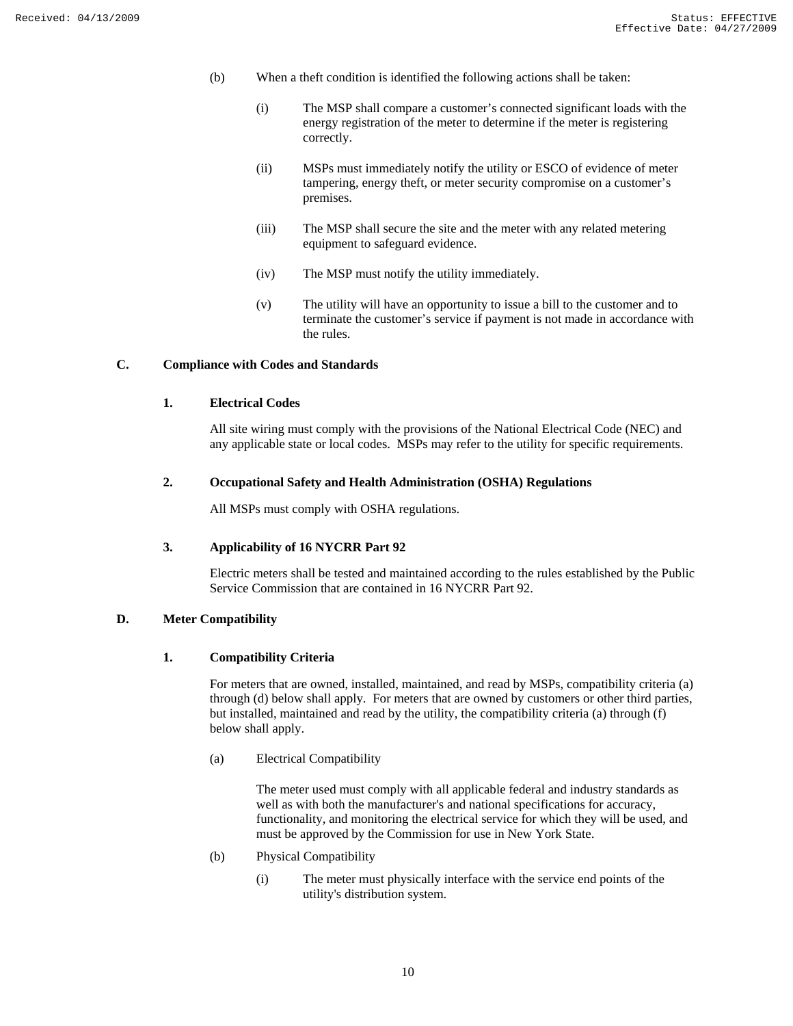- (b) When a theft condition is identified the following actions shall be taken:
	- (i) The MSP shall compare a customer's connected significant loads with the energy registration of the meter to determine if the meter is registering correctly.
	- (ii) MSPs must immediately notify the utility or ESCO of evidence of meter tampering, energy theft, or meter security compromise on a customer's premises.
	- (iii) The MSP shall secure the site and the meter with any related metering equipment to safeguard evidence.
	- (iv) The MSP must notify the utility immediately.
	- (v) The utility will have an opportunity to issue a bill to the customer and to terminate the customer's service if payment is not made in accordance with the rules.

## **C. Compliance with Codes and Standards**

## **1. Electrical Codes**

All site wiring must comply with the provisions of the National Electrical Code (NEC) and any applicable state or local codes. MSPs may refer to the utility for specific requirements.

#### **2. Occupational Safety and Health Administration (OSHA) Regulations**

All MSPs must comply with OSHA regulations.

## **3. Applicability of 16 NYCRR Part 92**

Electric meters shall be tested and maintained according to the rules established by the Public Service Commission that are contained in 16 NYCRR Part 92.

## **D. Meter Compatibility**

#### **1. Compatibility Criteria**

For meters that are owned, installed, maintained, and read by MSPs, compatibility criteria (a) through (d) below shall apply. For meters that are owned by customers or other third parties, but installed, maintained and read by the utility, the compatibility criteria (a) through (f) below shall apply.

(a) Electrical Compatibility

The meter used must comply with all applicable federal and industry standards as well as with both the manufacturer's and national specifications for accuracy, functionality, and monitoring the electrical service for which they will be used, and must be approved by the Commission for use in New York State.

- (b) Physical Compatibility
	- (i) The meter must physically interface with the service end points of the utility's distribution system.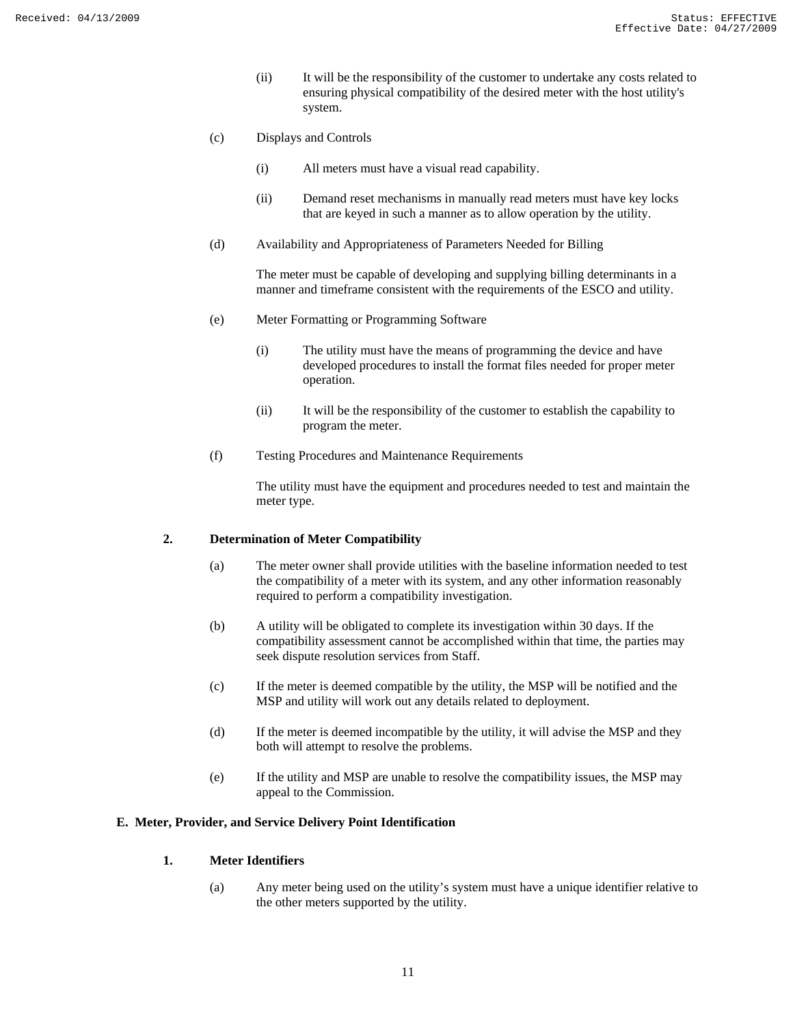- (ii) It will be the responsibility of the customer to undertake any costs related to ensuring physical compatibility of the desired meter with the host utility's system.
- (c) Displays and Controls
	- (i) All meters must have a visual read capability.
	- (ii) Demand reset mechanisms in manually read meters must have key locks that are keyed in such a manner as to allow operation by the utility.
- (d) Availability and Appropriateness of Parameters Needed for Billing

The meter must be capable of developing and supplying billing determinants in a manner and timeframe consistent with the requirements of the ESCO and utility.

- (e) Meter Formatting or Programming Software
	- (i) The utility must have the means of programming the device and have developed procedures to install the format files needed for proper meter operation.
	- (ii) It will be the responsibility of the customer to establish the capability to program the meter.
- (f) Testing Procedures and Maintenance Requirements

The utility must have the equipment and procedures needed to test and maintain the meter type.

## **2. Determination of Meter Compatibility**

- (a) The meter owner shall provide utilities with the baseline information needed to test the compatibility of a meter with its system, and any other information reasonably required to perform a compatibility investigation.
- (b) A utility will be obligated to complete its investigation within 30 days. If the compatibility assessment cannot be accomplished within that time, the parties may seek dispute resolution services from Staff.
- (c) If the meter is deemed compatible by the utility, the MSP will be notified and the MSP and utility will work out any details related to deployment.
- (d) If the meter is deemed incompatible by the utility, it will advise the MSP and they both will attempt to resolve the problems.
- (e) If the utility and MSP are unable to resolve the compatibility issues, the MSP may appeal to the Commission.

#### **E. Meter, Provider, and Service Delivery Point Identification**

## **1. Meter Identifiers**

(a) Any meter being used on the utility's system must have a unique identifier relative to the other meters supported by the utility.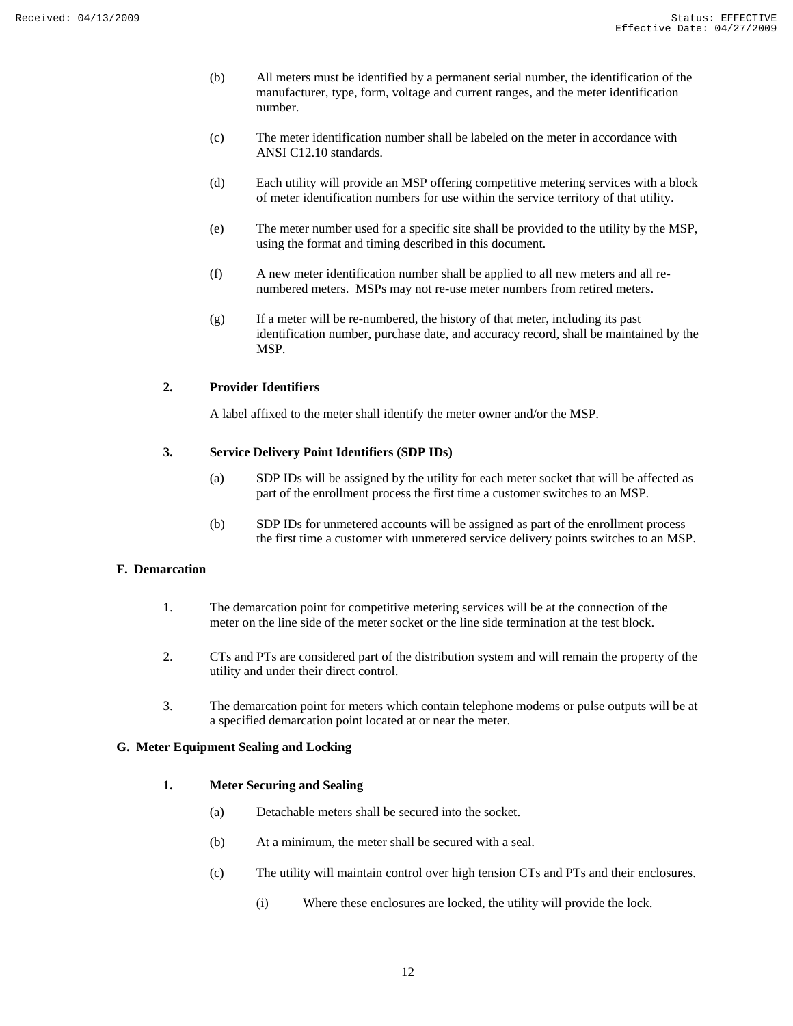- (b) All meters must be identified by a permanent serial number, the identification of the manufacturer, type, form, voltage and current ranges, and the meter identification number.
- (c) The meter identification number shall be labeled on the meter in accordance with ANSI C12.10 standards.
- (d) Each utility will provide an MSP offering competitive metering services with a block of meter identification numbers for use within the service territory of that utility.
- (e) The meter number used for a specific site shall be provided to the utility by the MSP, using the format and timing described in this document.
- (f) A new meter identification number shall be applied to all new meters and all renumbered meters. MSPs may not re-use meter numbers from retired meters.
- (g) If a meter will be re-numbered, the history of that meter, including its past identification number, purchase date, and accuracy record, shall be maintained by the MSP.

## **2. Provider Identifiers**

A label affixed to the meter shall identify the meter owner and/or the MSP.

## **3. Service Delivery Point Identifiers (SDP IDs)**

- (a) SDP IDs will be assigned by the utility for each meter socket that will be affected as part of the enrollment process the first time a customer switches to an MSP.
- (b) SDP IDs for unmetered accounts will be assigned as part of the enrollment process the first time a customer with unmetered service delivery points switches to an MSP.

## **F. Demarcation**

- 1. The demarcation point for competitive metering services will be at the connection of the meter on the line side of the meter socket or the line side termination at the test block.
- 2. CTs and PTs are considered part of the distribution system and will remain the property of the utility and under their direct control.
- 3. The demarcation point for meters which contain telephone modems or pulse outputs will be at a specified demarcation point located at or near the meter.

## **G. Meter Equipment Sealing and Locking**

## **1. Meter Securing and Sealing**

- (a) Detachable meters shall be secured into the socket.
- (b) At a minimum, the meter shall be secured with a seal.
- (c) The utility will maintain control over high tension CTs and PTs and their enclosures.
	- (i) Where these enclosures are locked, the utility will provide the lock.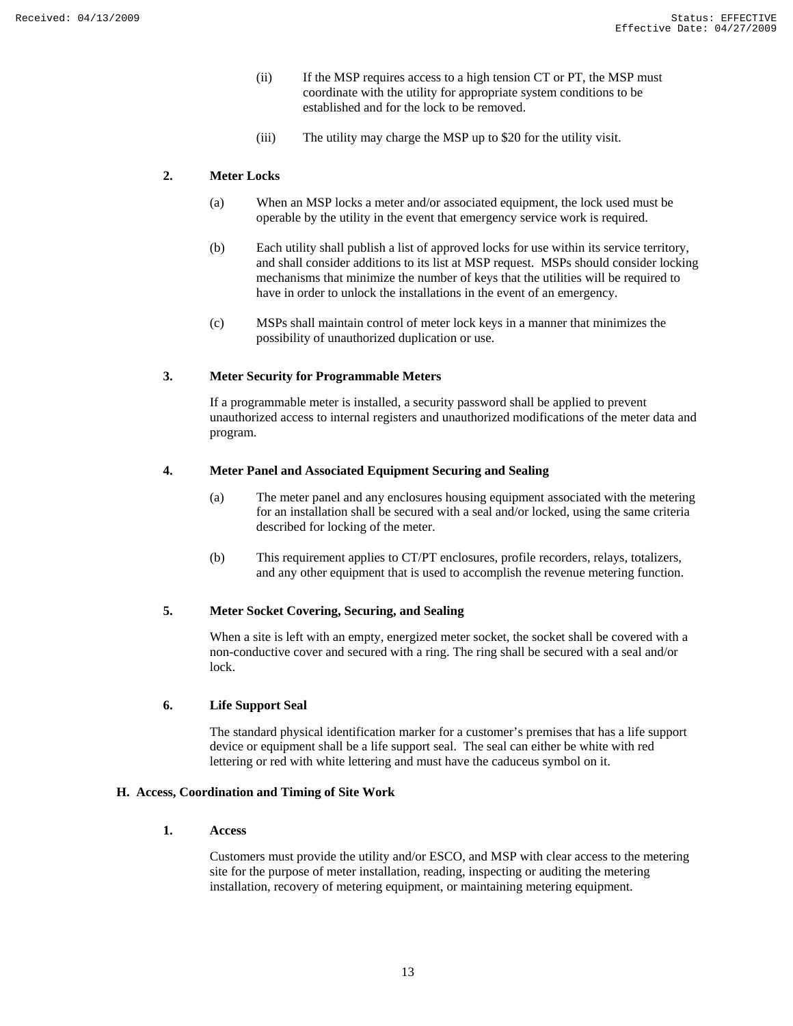- (ii) If the MSP requires access to a high tension CT or PT, the MSP must coordinate with the utility for appropriate system conditions to be established and for the lock to be removed.
- (iii) The utility may charge the MSP up to \$20 for the utility visit.

#### **2. Meter Locks**

- (a) When an MSP locks a meter and/or associated equipment, the lock used must be operable by the utility in the event that emergency service work is required.
- (b) Each utility shall publish a list of approved locks for use within its service territory, and shall consider additions to its list at MSP request. MSPs should consider locking mechanisms that minimize the number of keys that the utilities will be required to have in order to unlock the installations in the event of an emergency.
- (c) MSPs shall maintain control of meter lock keys in a manner that minimizes the possibility of unauthorized duplication or use.

#### **3. Meter Security for Programmable Meters**

If a programmable meter is installed, a security password shall be applied to prevent unauthorized access to internal registers and unauthorized modifications of the meter data and program.

## **4. Meter Panel and Associated Equipment Securing and Sealing**

- (a) The meter panel and any enclosures housing equipment associated with the metering for an installation shall be secured with a seal and/or locked, using the same criteria described for locking of the meter.
- (b) This requirement applies to CT/PT enclosures, profile recorders, relays, totalizers, and any other equipment that is used to accomplish the revenue metering function.

## **5. Meter Socket Covering, Securing, and Sealing**

When a site is left with an empty, energized meter socket, the socket shall be covered with a non-conductive cover and secured with a ring. The ring shall be secured with a seal and/or lock.

## **6. Life Support Seal**

The standard physical identification marker for a customer's premises that has a life support device or equipment shall be a life support seal. The seal can either be white with red lettering or red with white lettering and must have the caduceus symbol on it.

## **H. Access, Coordination and Timing of Site Work**

## **1. Access**

Customers must provide the utility and/or ESCO, and MSP with clear access to the metering site for the purpose of meter installation, reading, inspecting or auditing the metering installation, recovery of metering equipment, or maintaining metering equipment.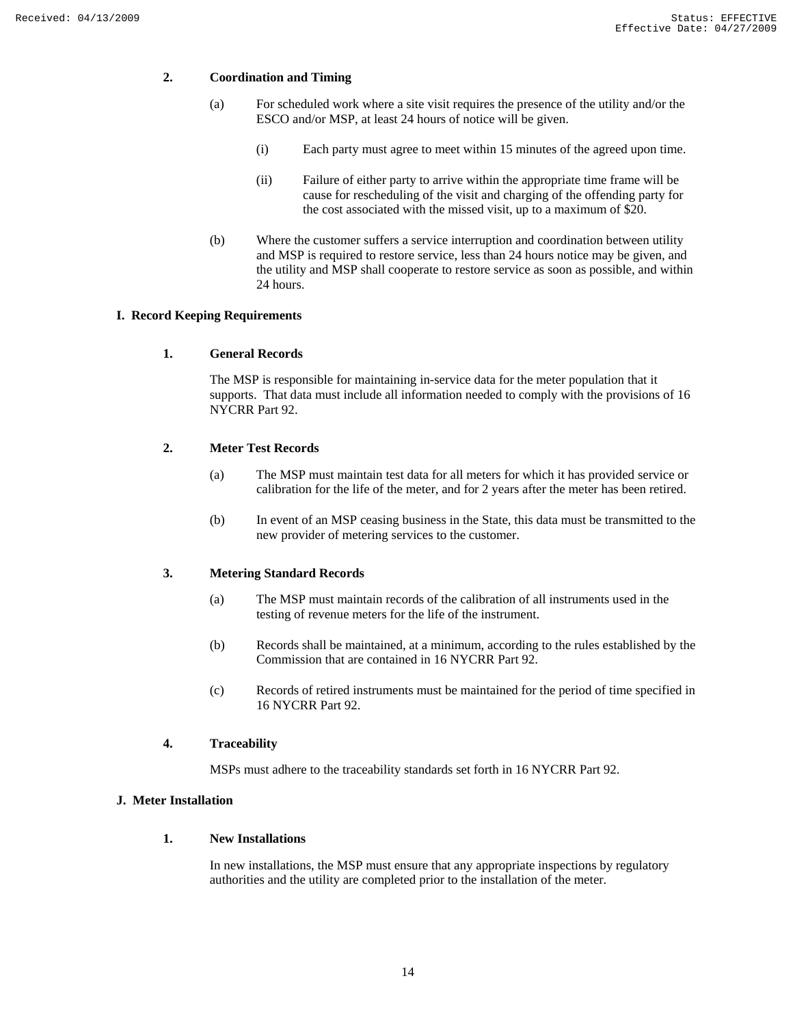## **2. Coordination and Timing**

- (a) For scheduled work where a site visit requires the presence of the utility and/or the ESCO and/or MSP, at least 24 hours of notice will be given.
	- (i) Each party must agree to meet within 15 minutes of the agreed upon time.
	- (ii) Failure of either party to arrive within the appropriate time frame will be cause for rescheduling of the visit and charging of the offending party for the cost associated with the missed visit, up to a maximum of \$20.
- (b) Where the customer suffers a service interruption and coordination between utility and MSP is required to restore service, less than 24 hours notice may be given, and the utility and MSP shall cooperate to restore service as soon as possible, and within 24 hours.

## **I. Record Keeping Requirements**

#### **1. General Records**

The MSP is responsible for maintaining in-service data for the meter population that it supports. That data must include all information needed to comply with the provisions of 16 NYCRR Part 92.

## **2. Meter Test Records**

- (a) The MSP must maintain test data for all meters for which it has provided service or calibration for the life of the meter, and for 2 years after the meter has been retired.
- (b) In event of an MSP ceasing business in the State, this data must be transmitted to the new provider of metering services to the customer.

#### **3. Metering Standard Records**

- (a) The MSP must maintain records of the calibration of all instruments used in the testing of revenue meters for the life of the instrument.
- (b) Records shall be maintained, at a minimum, according to the rules established by the Commission that are contained in 16 NYCRR Part 92.
- (c) Records of retired instruments must be maintained for the period of time specified in 16 NYCRR Part 92.

#### **4. Traceability**

MSPs must adhere to the traceability standards set forth in 16 NYCRR Part 92.

## **J. Meter Installation**

#### **1. New Installations**

In new installations, the MSP must ensure that any appropriate inspections by regulatory authorities and the utility are completed prior to the installation of the meter.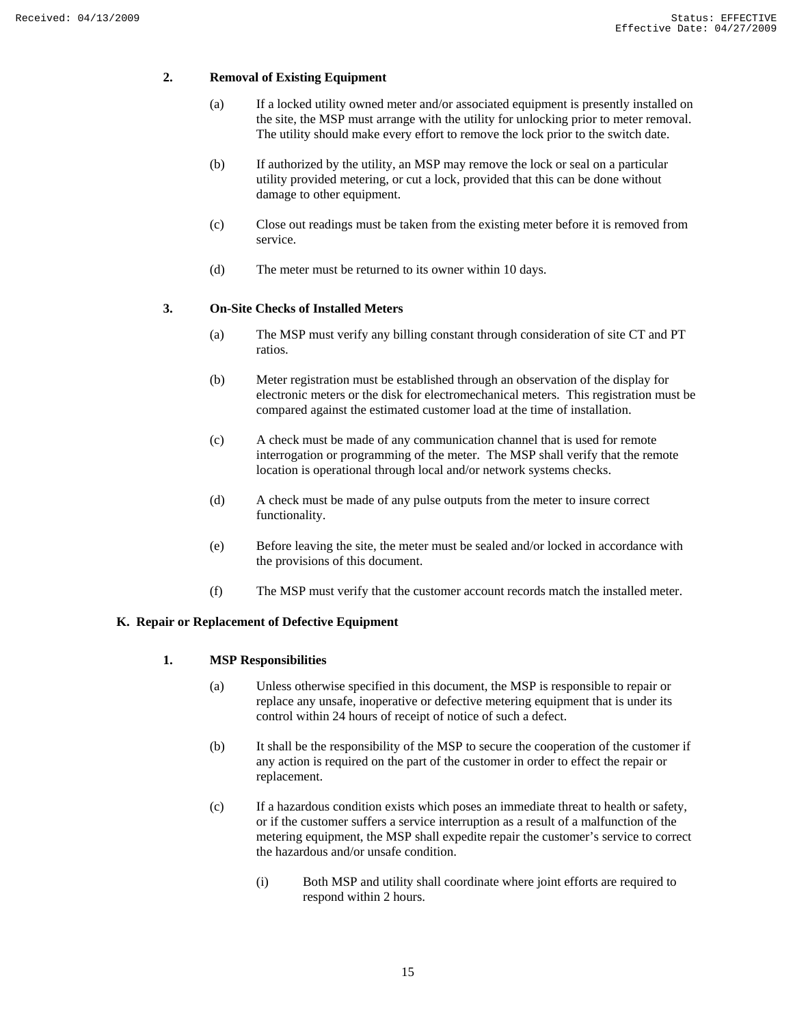## **2. Removal of Existing Equipment**

- (a) If a locked utility owned meter and/or associated equipment is presently installed on the site, the MSP must arrange with the utility for unlocking prior to meter removal. The utility should make every effort to remove the lock prior to the switch date.
- (b) If authorized by the utility, an MSP may remove the lock or seal on a particular utility provided metering, or cut a lock, provided that this can be done without damage to other equipment.
- (c) Close out readings must be taken from the existing meter before it is removed from service.
- (d) The meter must be returned to its owner within 10 days.

## **3. On-Site Checks of Installed Meters**

- (a) The MSP must verify any billing constant through consideration of site CT and PT ratios.
- (b) Meter registration must be established through an observation of the display for electronic meters or the disk for electromechanical meters. This registration must be compared against the estimated customer load at the time of installation.
- (c) A check must be made of any communication channel that is used for remote interrogation or programming of the meter. The MSP shall verify that the remote location is operational through local and/or network systems checks.
- (d) A check must be made of any pulse outputs from the meter to insure correct functionality.
- (e) Before leaving the site, the meter must be sealed and/or locked in accordance with the provisions of this document.
- (f) The MSP must verify that the customer account records match the installed meter.

## **K. Repair or Replacement of Defective Equipment**

#### **1. MSP Responsibilities**

- (a) Unless otherwise specified in this document, the MSP is responsible to repair or replace any unsafe, inoperative or defective metering equipment that is under its control within 24 hours of receipt of notice of such a defect.
- (b) It shall be the responsibility of the MSP to secure the cooperation of the customer if any action is required on the part of the customer in order to effect the repair or replacement.
- (c) If a hazardous condition exists which poses an immediate threat to health or safety, or if the customer suffers a service interruption as a result of a malfunction of the metering equipment, the MSP shall expedite repair the customer's service to correct the hazardous and/or unsafe condition.
	- (i) Both MSP and utility shall coordinate where joint efforts are required to respond within 2 hours.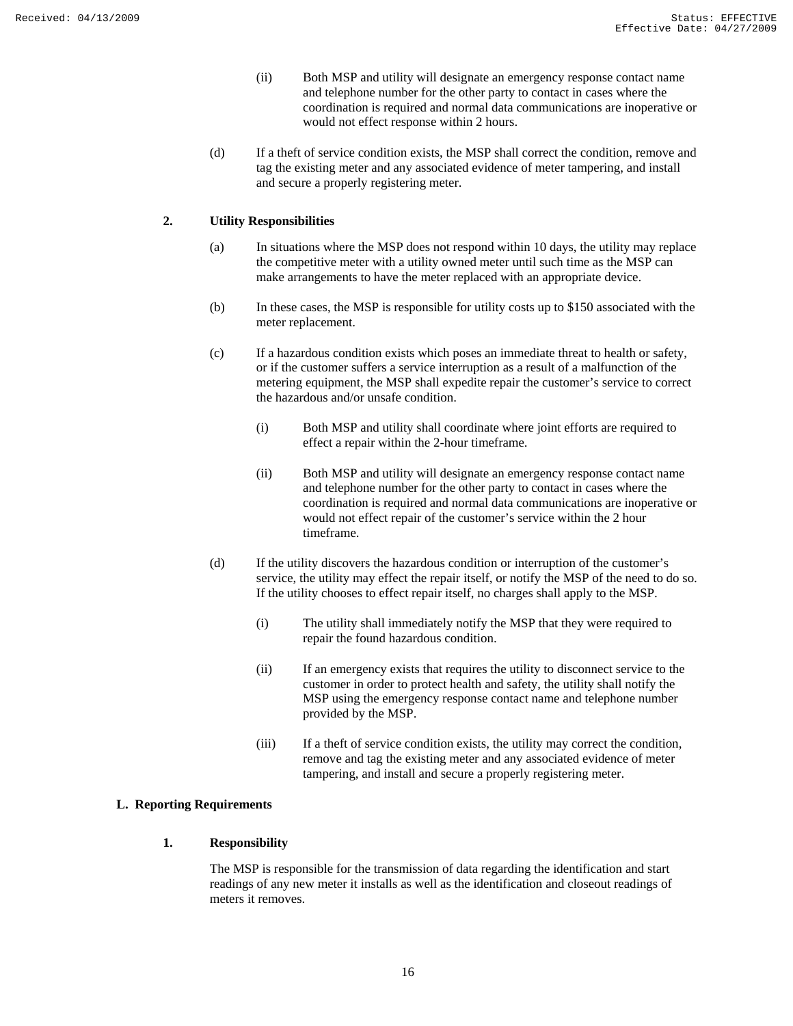- (ii) Both MSP and utility will designate an emergency response contact name and telephone number for the other party to contact in cases where the coordination is required and normal data communications are inoperative or would not effect response within 2 hours.
- (d) If a theft of service condition exists, the MSP shall correct the condition, remove and tag the existing meter and any associated evidence of meter tampering, and install and secure a properly registering meter.

## **2. Utility Responsibilities**

- (a) In situations where the MSP does not respond within 10 days, the utility may replace the competitive meter with a utility owned meter until such time as the MSP can make arrangements to have the meter replaced with an appropriate device.
- (b) In these cases, the MSP is responsible for utility costs up to \$150 associated with the meter replacement.
- (c) If a hazardous condition exists which poses an immediate threat to health or safety, or if the customer suffers a service interruption as a result of a malfunction of the metering equipment, the MSP shall expedite repair the customer's service to correct the hazardous and/or unsafe condition.
	- (i) Both MSP and utility shall coordinate where joint efforts are required to effect a repair within the 2-hour timeframe.
	- (ii) Both MSP and utility will designate an emergency response contact name and telephone number for the other party to contact in cases where the coordination is required and normal data communications are inoperative or would not effect repair of the customer's service within the 2 hour timeframe.
- (d) If the utility discovers the hazardous condition or interruption of the customer's service, the utility may effect the repair itself, or notify the MSP of the need to do so. If the utility chooses to effect repair itself, no charges shall apply to the MSP.
	- (i) The utility shall immediately notify the MSP that they were required to repair the found hazardous condition.
	- (ii) If an emergency exists that requires the utility to disconnect service to the customer in order to protect health and safety, the utility shall notify the MSP using the emergency response contact name and telephone number provided by the MSP.
	- (iii) If a theft of service condition exists, the utility may correct the condition, remove and tag the existing meter and any associated evidence of meter tampering, and install and secure a properly registering meter.

## **L. Reporting Requirements**

## **1. Responsibility**

The MSP is responsible for the transmission of data regarding the identification and start readings of any new meter it installs as well as the identification and closeout readings of meters it removes.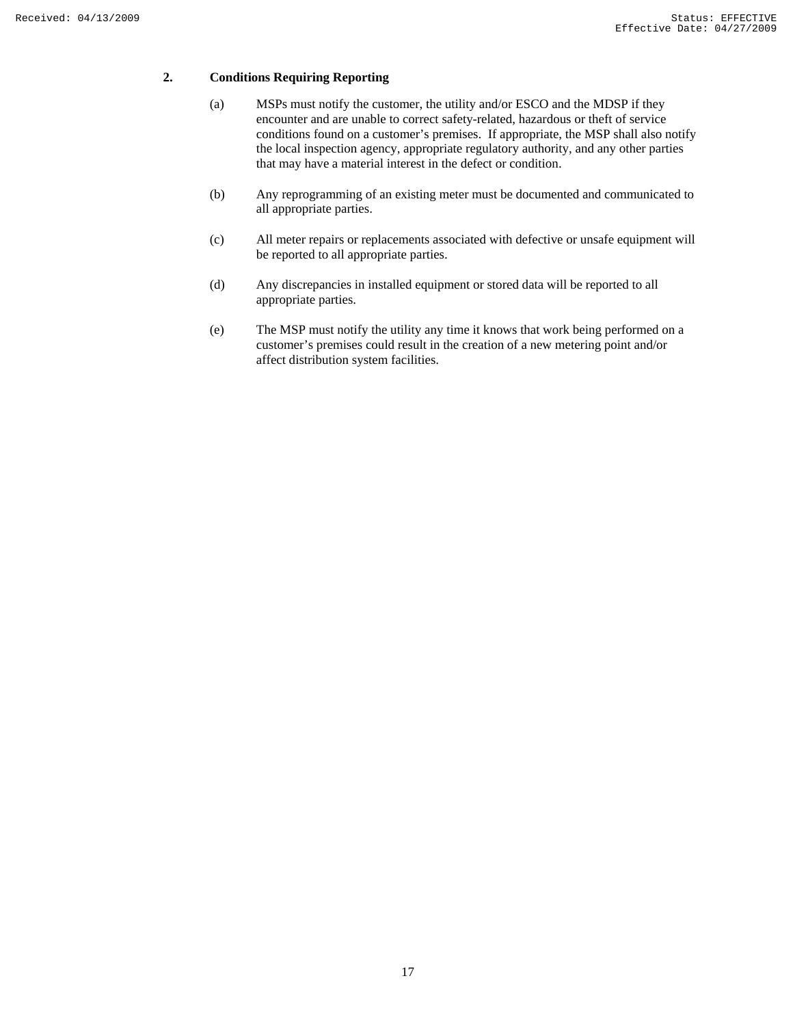## **2. Conditions Requiring Reporting**

- (a) MSPs must notify the customer, the utility and/or ESCO and the MDSP if they encounter and are unable to correct safety-related, hazardous or theft of service conditions found on a customer's premises. If appropriate, the MSP shall also notify the local inspection agency, appropriate regulatory authority, and any other parties that may have a material interest in the defect or condition.
- (b) Any reprogramming of an existing meter must be documented and communicated to all appropriate parties.
- (c) All meter repairs or replacements associated with defective or unsafe equipment will be reported to all appropriate parties.
- (d) Any discrepancies in installed equipment or stored data will be reported to all appropriate parties.
- (e) The MSP must notify the utility any time it knows that work being performed on a customer's premises could result in the creation of a new metering point and/or affect distribution system facilities.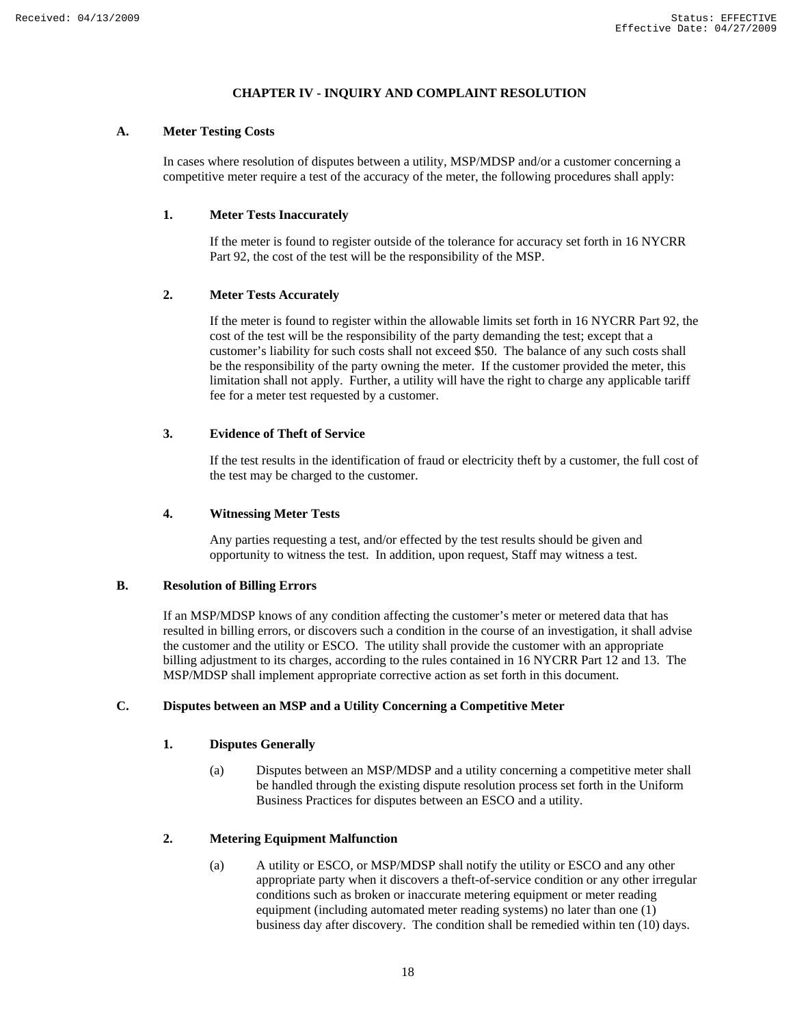## **CHAPTER IV - INQUIRY AND COMPLAINT RESOLUTION**

## **A. Meter Testing Costs**

In cases where resolution of disputes between a utility, MSP/MDSP and/or a customer concerning a competitive meter require a test of the accuracy of the meter, the following procedures shall apply:

## **1. Meter Tests Inaccurately**

If the meter is found to register outside of the tolerance for accuracy set forth in 16 NYCRR Part 92, the cost of the test will be the responsibility of the MSP.

## **2. Meter Tests Accurately**

If the meter is found to register within the allowable limits set forth in 16 NYCRR Part 92, the cost of the test will be the responsibility of the party demanding the test; except that a customer's liability for such costs shall not exceed \$50. The balance of any such costs shall be the responsibility of the party owning the meter. If the customer provided the meter, this limitation shall not apply. Further, a utility will have the right to charge any applicable tariff fee for a meter test requested by a customer.

## **3. Evidence of Theft of Service**

If the test results in the identification of fraud or electricity theft by a customer, the full cost of the test may be charged to the customer.

## **4. Witnessing Meter Tests**

Any parties requesting a test, and/or effected by the test results should be given and opportunity to witness the test. In addition, upon request, Staff may witness a test.

## **B. Resolution of Billing Errors**

If an MSP/MDSP knows of any condition affecting the customer's meter or metered data that has resulted in billing errors, or discovers such a condition in the course of an investigation, it shall advise the customer and the utility or ESCO. The utility shall provide the customer with an appropriate billing adjustment to its charges, according to the rules contained in 16 NYCRR Part 12 and 13. The MSP/MDSP shall implement appropriate corrective action as set forth in this document.

## **C. Disputes between an MSP and a Utility Concerning a Competitive Meter**

#### **1. Disputes Generally**

(a) Disputes between an MSP/MDSP and a utility concerning a competitive meter shall be handled through the existing dispute resolution process set forth in the Uniform Business Practices for disputes between an ESCO and a utility.

#### **2. Metering Equipment Malfunction**

(a) A utility or ESCO, or MSP/MDSP shall notify the utility or ESCO and any other appropriate party when it discovers a theft-of-service condition or any other irregular conditions such as broken or inaccurate metering equipment or meter reading equipment (including automated meter reading systems) no later than one (1) business day after discovery. The condition shall be remedied within ten (10) days.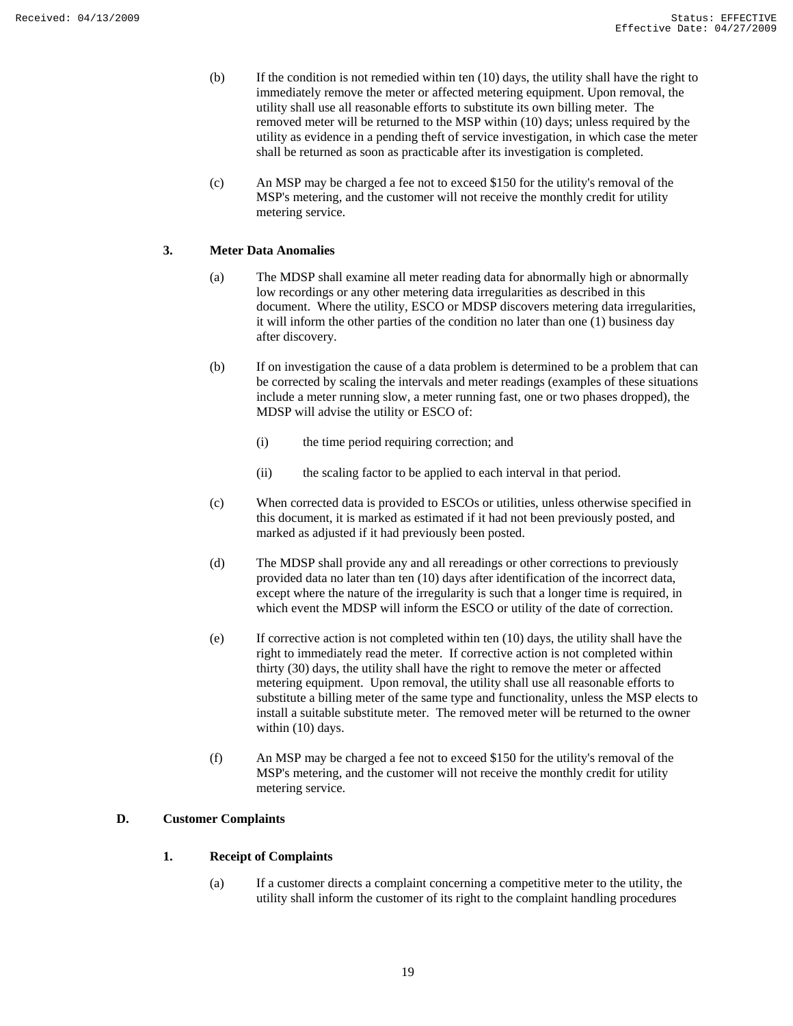- (b) If the condition is not remedied within ten (10) days, the utility shall have the right to immediately remove the meter or affected metering equipment. Upon removal, the utility shall use all reasonable efforts to substitute its own billing meter. The removed meter will be returned to the MSP within (10) days; unless required by the utility as evidence in a pending theft of service investigation, in which case the meter shall be returned as soon as practicable after its investigation is completed.
- (c) An MSP may be charged a fee not to exceed \$150 for the utility's removal of the MSP's metering, and the customer will not receive the monthly credit for utility metering service.

## **3. Meter Data Anomalies**

- (a) The MDSP shall examine all meter reading data for abnormally high or abnormally low recordings or any other metering data irregularities as described in this document. Where the utility, ESCO or MDSP discovers metering data irregularities, it will inform the other parties of the condition no later than one (1) business day after discovery.
- (b) If on investigation the cause of a data problem is determined to be a problem that can be corrected by scaling the intervals and meter readings (examples of these situations include a meter running slow, a meter running fast, one or two phases dropped), the MDSP will advise the utility or ESCO of:
	- (i) the time period requiring correction; and
	- (ii) the scaling factor to be applied to each interval in that period.
- (c) When corrected data is provided to ESCOs or utilities, unless otherwise specified in this document, it is marked as estimated if it had not been previously posted, and marked as adjusted if it had previously been posted.
- (d) The MDSP shall provide any and all rereadings or other corrections to previously provided data no later than ten (10) days after identification of the incorrect data, except where the nature of the irregularity is such that a longer time is required, in which event the MDSP will inform the ESCO or utility of the date of correction.
- (e) If corrective action is not completed within ten (10) days, the utility shall have the right to immediately read the meter. If corrective action is not completed within thirty (30) days, the utility shall have the right to remove the meter or affected metering equipment. Upon removal, the utility shall use all reasonable efforts to substitute a billing meter of the same type and functionality, unless the MSP elects to install a suitable substitute meter. The removed meter will be returned to the owner within (10) days.
- (f) An MSP may be charged a fee not to exceed \$150 for the utility's removal of the MSP's metering, and the customer will not receive the monthly credit for utility metering service.

## **D. Customer Complaints**

## **1. Receipt of Complaints**

(a) If a customer directs a complaint concerning a competitive meter to the utility, the utility shall inform the customer of its right to the complaint handling procedures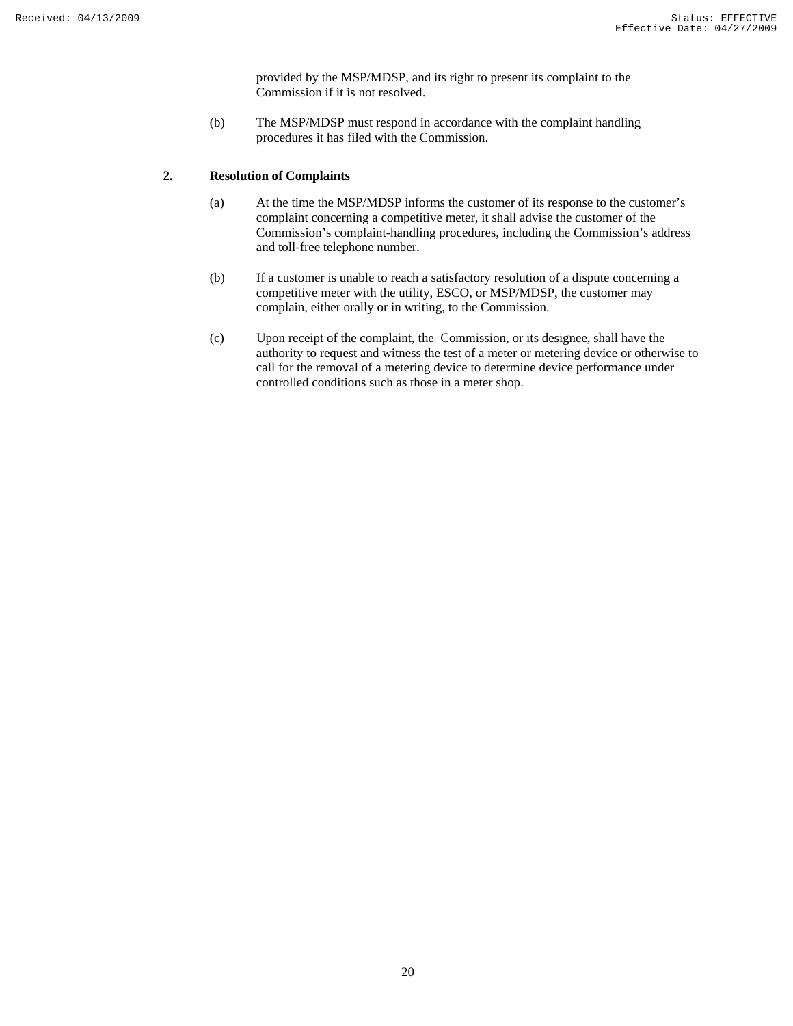provided by the MSP/MDSP, and its right to present its complaint to the Commission if it is not resolved.

(b) The MSP/MDSP must respond in accordance with the complaint handling procedures it has filed with the Commission.

## **2. Resolution of Complaints**

- (a) At the time the MSP/MDSP informs the customer of its response to the customer's complaint concerning a competitive meter, it shall advise the customer of the Commission's complaint-handling procedures, including the Commission's address and toll-free telephone number.
- (b) If a customer is unable to reach a satisfactory resolution of a dispute concerning a competitive meter with the utility, ESCO, or MSP/MDSP, the customer may complain, either orally or in writing, to the Commission.
- (c) Upon receipt of the complaint, the Commission, or its designee, shall have the authority to request and witness the test of a meter or metering device or otherwise to call for the removal of a metering device to determine device performance under controlled conditions such as those in a meter shop.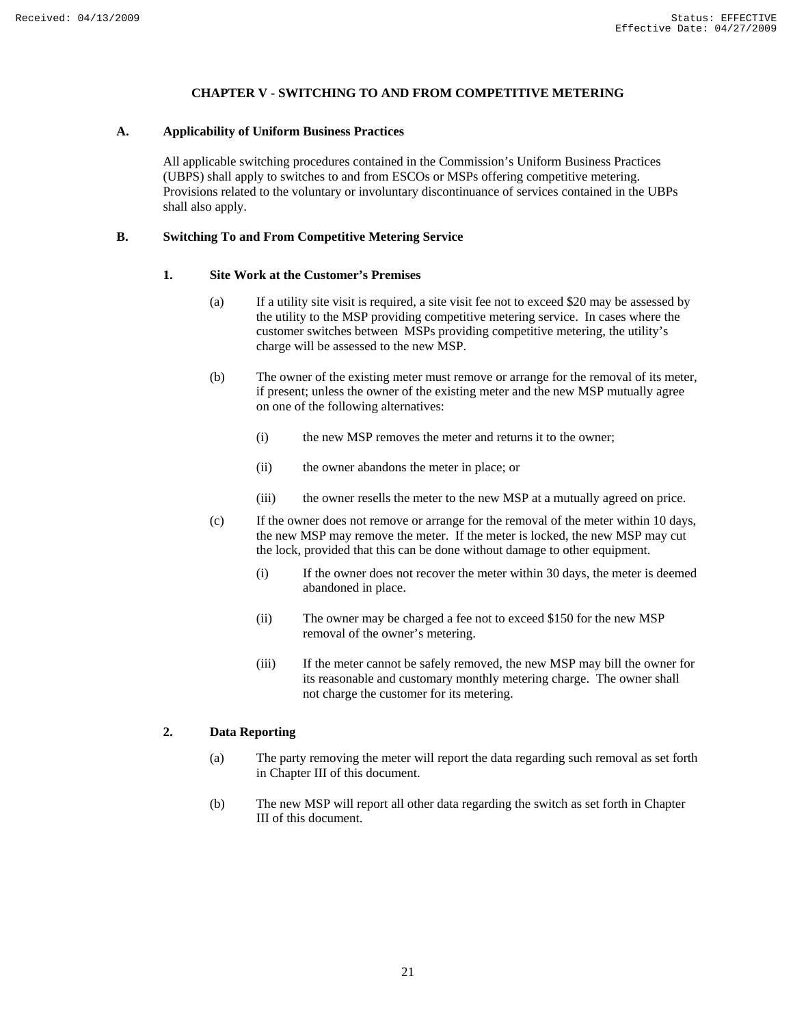## **CHAPTER V - SWITCHING TO AND FROM COMPETITIVE METERING**

## **A. Applicability of Uniform Business Practices**

All applicable switching procedures contained in the Commission's Uniform Business Practices (UBPS) shall apply to switches to and from ESCOs or MSPs offering competitive metering. Provisions related to the voluntary or involuntary discontinuance of services contained in the UBPs shall also apply.

## **B. Switching To and From Competitive Metering Service**

## **1. Site Work at the Customer's Premises**

- (a) If a utility site visit is required, a site visit fee not to exceed \$20 may be assessed by the utility to the MSP providing competitive metering service. In cases where the customer switches between MSPs providing competitive metering, the utility's charge will be assessed to the new MSP.
- (b) The owner of the existing meter must remove or arrange for the removal of its meter, if present; unless the owner of the existing meter and the new MSP mutually agree on one of the following alternatives:
	- (i) the new MSP removes the meter and returns it to the owner;
	- (ii) the owner abandons the meter in place; or
	- (iii) the owner resells the meter to the new MSP at a mutually agreed on price.
- (c) If the owner does not remove or arrange for the removal of the meter within 10 days, the new MSP may remove the meter. If the meter is locked, the new MSP may cut the lock, provided that this can be done without damage to other equipment.
	- (i) If the owner does not recover the meter within 30 days, the meter is deemed abandoned in place.
	- (ii) The owner may be charged a fee not to exceed \$150 for the new MSP removal of the owner's metering.
	- (iii) If the meter cannot be safely removed, the new MSP may bill the owner for its reasonable and customary monthly metering charge. The owner shall not charge the customer for its metering.

## **2. Data Reporting**

- (a) The party removing the meter will report the data regarding such removal as set forth in Chapter III of this document.
- (b) The new MSP will report all other data regarding the switch as set forth in Chapter III of this document.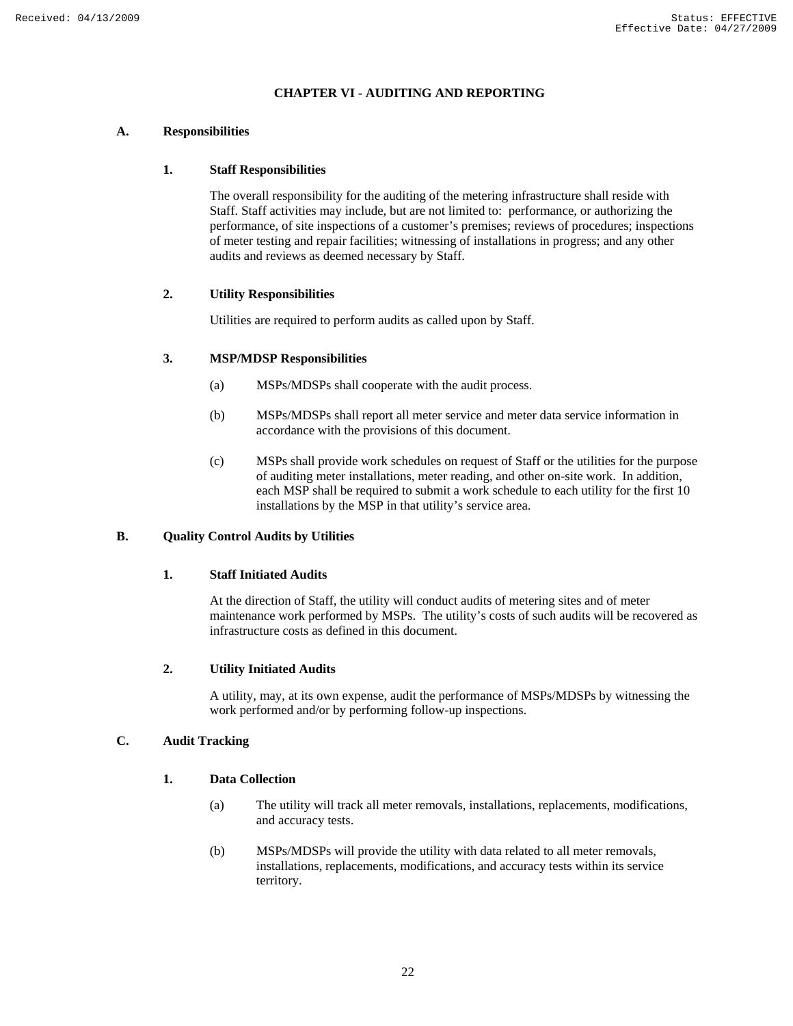## **CHAPTER VI - AUDITING AND REPORTING**

## **A. Responsibilities**

## **1. Staff Responsibilities**

The overall responsibility for the auditing of the metering infrastructure shall reside with Staff. Staff activities may include, but are not limited to: performance, or authorizing the performance, of site inspections of a customer's premises; reviews of procedures; inspections of meter testing and repair facilities; witnessing of installations in progress; and any other audits and reviews as deemed necessary by Staff.

## **2. Utility Responsibilities**

Utilities are required to perform audits as called upon by Staff.

## **3. MSP/MDSP Responsibilities**

- (a) MSPs/MDSPs shall cooperate with the audit process.
- (b) MSPs/MDSPs shall report all meter service and meter data service information in accordance with the provisions of this document.
- (c) MSPs shall provide work schedules on request of Staff or the utilities for the purpose of auditing meter installations, meter reading, and other on-site work. In addition, each MSP shall be required to submit a work schedule to each utility for the first 10 installations by the MSP in that utility's service area.

## **B. Quality Control Audits by Utilities**

#### **1. Staff Initiated Audits**

At the direction of Staff, the utility will conduct audits of metering sites and of meter maintenance work performed by MSPs. The utility's costs of such audits will be recovered as infrastructure costs as defined in this document.

#### **2. Utility Initiated Audits**

A utility, may, at its own expense, audit the performance of MSPs/MDSPs by witnessing the work performed and/or by performing follow-up inspections.

## **C. Audit Tracking**

### **1. Data Collection**

- (a) The utility will track all meter removals, installations, replacements, modifications, and accuracy tests.
- (b) MSPs/MDSPs will provide the utility with data related to all meter removals, installations, replacements, modifications, and accuracy tests within its service territory.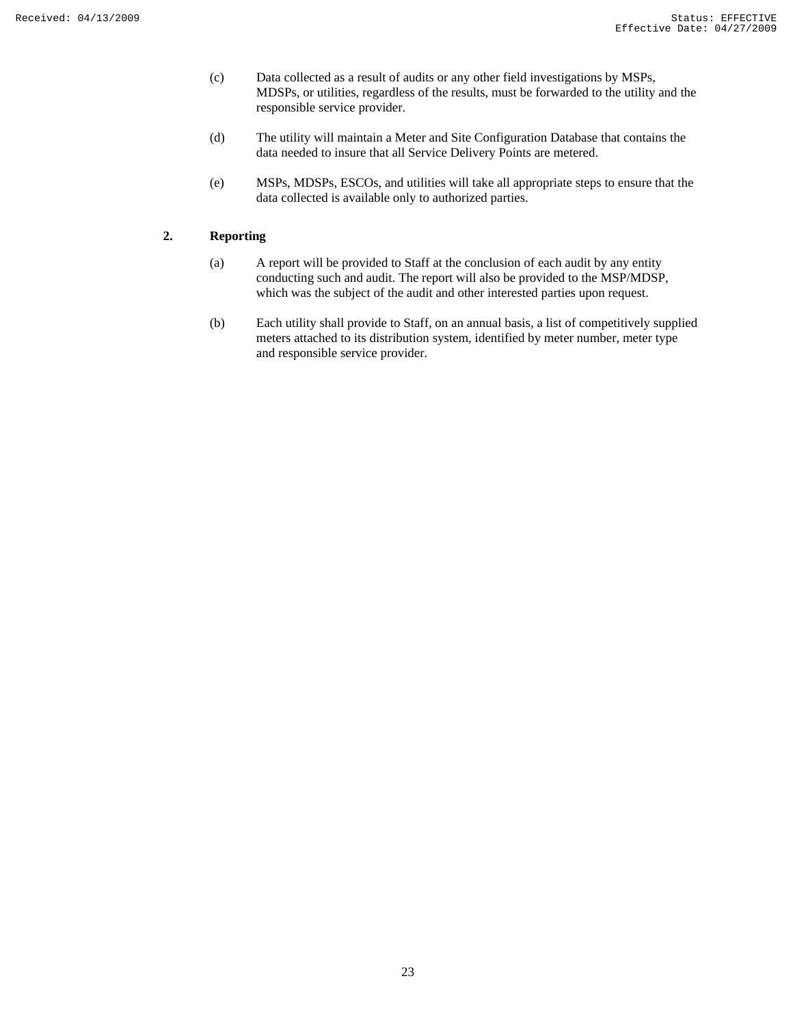- (c) Data collected as a result of audits or any other field investigations by MSPs, MDSPs, or utilities, regardless of the results, must be forwarded to the utility and the responsible service provider.
- (d) The utility will maintain a Meter and Site Configuration Database that contains the data needed to insure that all Service Delivery Points are metered.
- (e) MSPs, MDSPs, ESCOs, and utilities will take all appropriate steps to ensure that the data collected is available only to authorized parties.

## **2. Reporting**

- (a) A report will be provided to Staff at the conclusion of each audit by any entity conducting such and audit. The report will also be provided to the MSP/MDSP, which was the subject of the audit and other interested parties upon request.
- (b) Each utility shall provide to Staff, on an annual basis, a list of competitively supplied meters attached to its distribution system, identified by meter number, meter type and responsible service provider.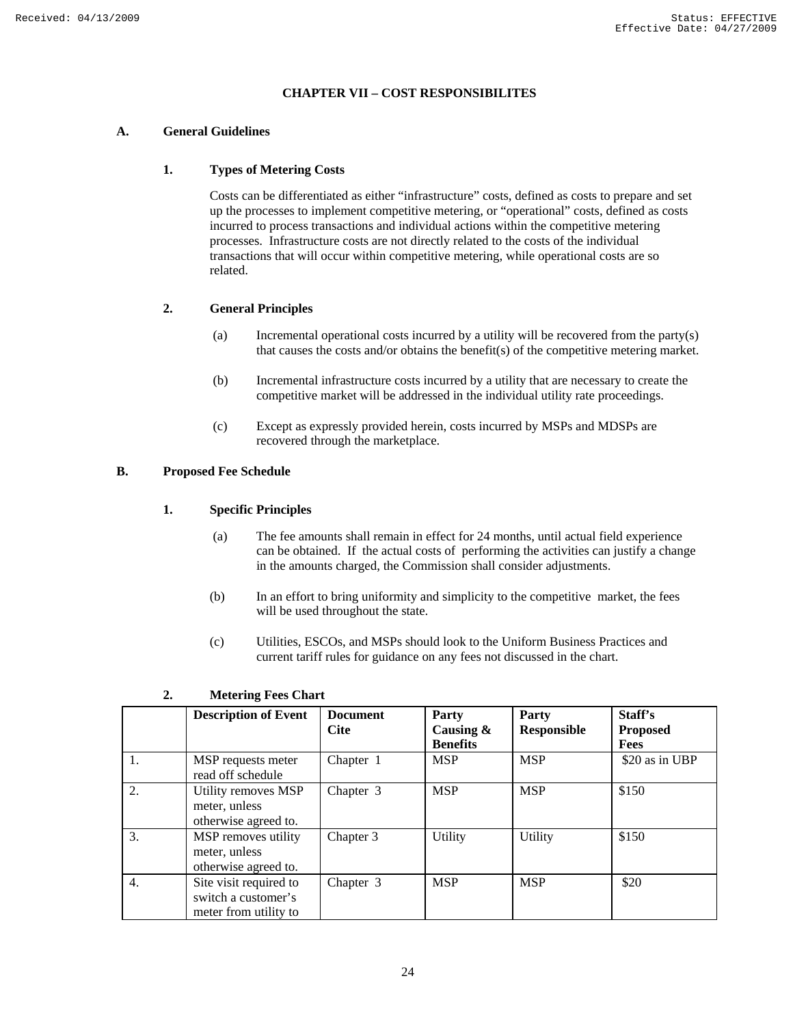## **CHAPTER VII – COST RESPONSIBILITES**

## **A. General Guidelines**

## **1. Types of Metering Costs**

Costs can be differentiated as either "infrastructure" costs, defined as costs to prepare and set up the processes to implement competitive metering, or "operational" costs, defined as costs incurred to process transactions and individual actions within the competitive metering processes. Infrastructure costs are not directly related to the costs of the individual transactions that will occur within competitive metering, while operational costs are so related.

## **2. General Principles**

- (a) Incremental operational costs incurred by a utility will be recovered from the party(s) that causes the costs and/or obtains the benefit(s) of the competitive metering market.
- (b) Incremental infrastructure costs incurred by a utility that are necessary to create the competitive market will be addressed in the individual utility rate proceedings.
- (c) Except as expressly provided herein, costs incurred by MSPs and MDSPs are recovered through the marketplace.

## **B. Proposed Fee Schedule**

#### **1. Specific Principles**

- (a) The fee amounts shall remain in effect for 24 months, until actual field experience can be obtained. If the actual costs of performing the activities can justify a change in the amounts charged, the Commission shall consider adjustments.
- (b) In an effort to bring uniformity and simplicity to the competitive market, the fees will be used throughout the state.
- (c) Utilities, ESCOs, and MSPs should look to the Uniform Business Practices and current tariff rules for guidance on any fees not discussed in the chart.

|    | <b>Description of Event</b>                                            | <b>Document</b><br><b>Cite</b> | Party<br>Causing $\&$<br><b>Benefits</b> | Party<br><b>Responsible</b> | Staff's<br><b>Proposed</b><br>Fees |
|----|------------------------------------------------------------------------|--------------------------------|------------------------------------------|-----------------------------|------------------------------------|
| 1. | MSP requests meter<br>read off schedule                                | Chapter 1                      | <b>MSP</b>                               | <b>MSP</b>                  | \$20 as in UBP                     |
| 2. | Utility removes MSP<br>meter, unless<br>otherwise agreed to.           | Chapter 3                      | <b>MSP</b>                               | <b>MSP</b>                  | \$150                              |
| 3. | MSP removes utility<br>meter, unless<br>otherwise agreed to.           | Chapter 3                      | Utility                                  | Utility                     | \$150                              |
| 4. | Site visit required to<br>switch a customer's<br>meter from utility to | Chapter 3                      | <b>MSP</b>                               | <b>MSP</b>                  | \$20                               |

## **2. Metering Fees Chart**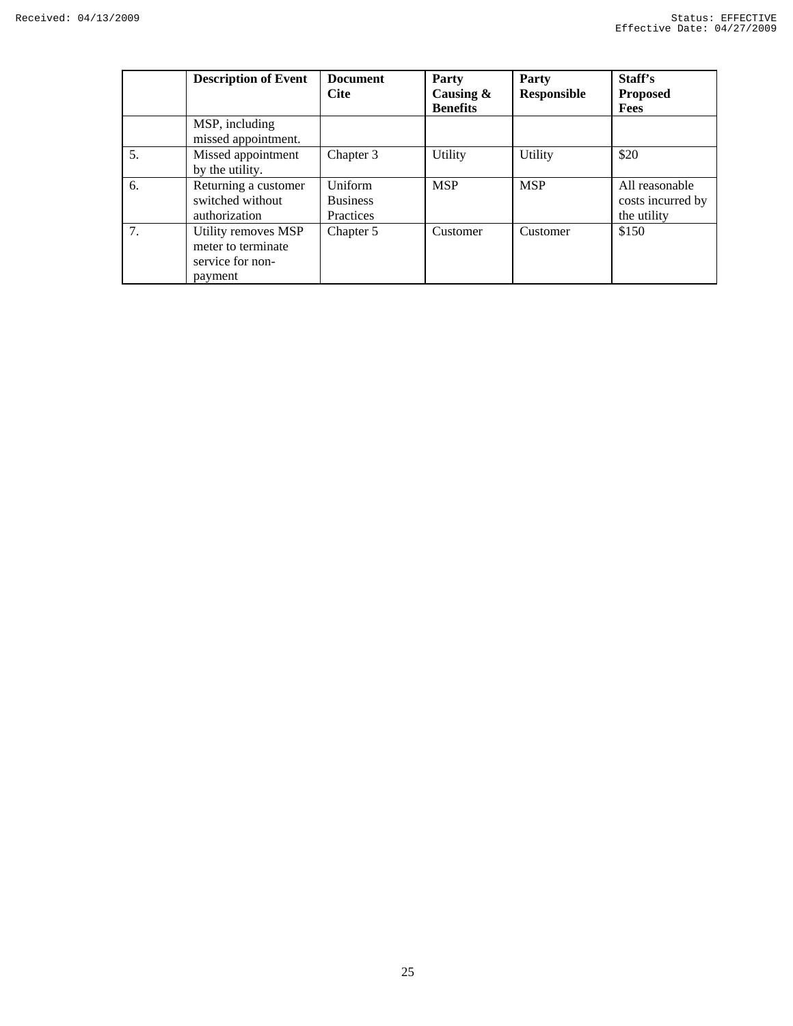|    | <b>Description of Event</b>                                              | <b>Document</b><br><b>Cite</b>          | Party<br>Causing $\&$<br><b>Benefits</b> | Party<br><b>Responsible</b> | Staff's<br><b>Proposed</b><br>Fees                 |
|----|--------------------------------------------------------------------------|-----------------------------------------|------------------------------------------|-----------------------------|----------------------------------------------------|
|    | MSP, including<br>missed appointment.                                    |                                         |                                          |                             |                                                    |
| 5. | Missed appointment<br>by the utility.                                    | Chapter 3                               | Utility                                  | Utility                     | \$20                                               |
| 6. | Returning a customer<br>switched without<br>authorization                | Uniform<br><b>Business</b><br>Practices | <b>MSP</b>                               | <b>MSP</b>                  | All reasonable<br>costs incurred by<br>the utility |
| 7. | Utility removes MSP<br>meter to terminate<br>service for non-<br>payment | Chapter 5                               | Customer                                 | Customer                    | \$150                                              |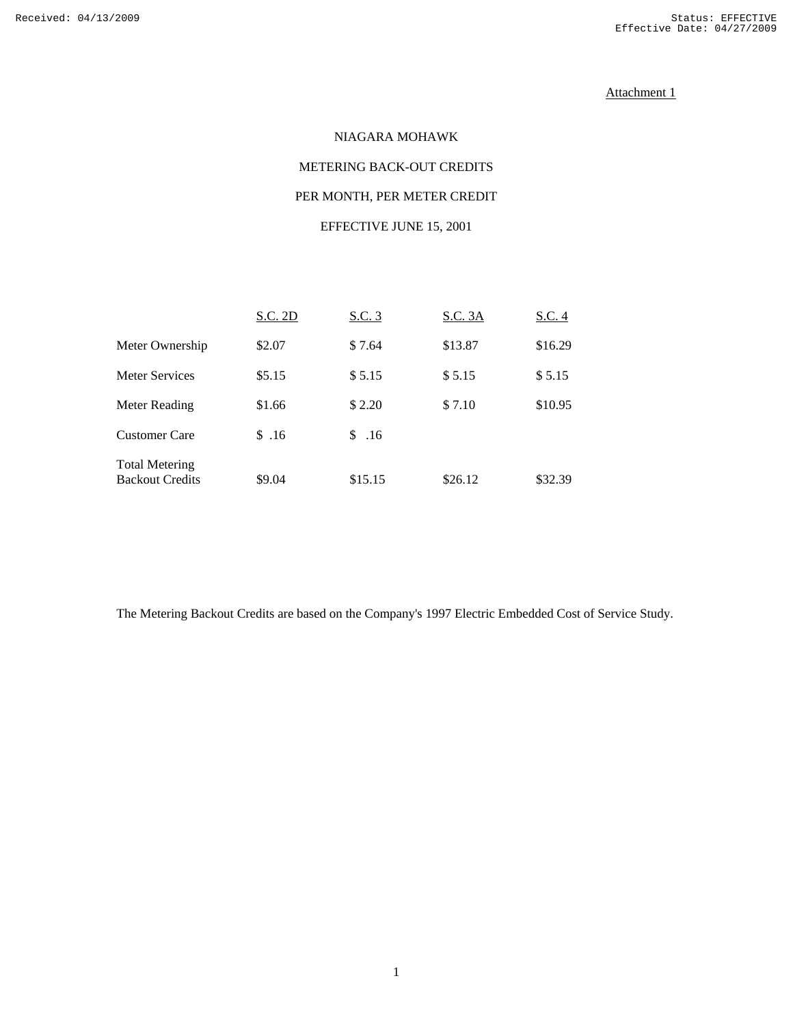## Attachment 1

# NIAGARA MOHAWK METERING BACK-OUT CREDITS PER MONTH, PER METER CREDIT EFFECTIVE JUNE 15, 2001

# S.C. 2D S.C. 3 S.C. 3A S.C. 4 Meter Ownership  $$2.07$   $$7.64$   $$13.87$   $$16.29$ Meter Services \$5.15 \$5.15 \$5.15 \$5.15 Meter Reading \$1.66 \$2.20 \$7.10 \$10.95 Customer Care \$ .16 \$ .16 Total Metering Backout Credits \$9.04 \$15.15 \$26.12 \$32.39

The Metering Backout Credits are based on the Company's 1997 Electric Embedded Cost of Service Study.